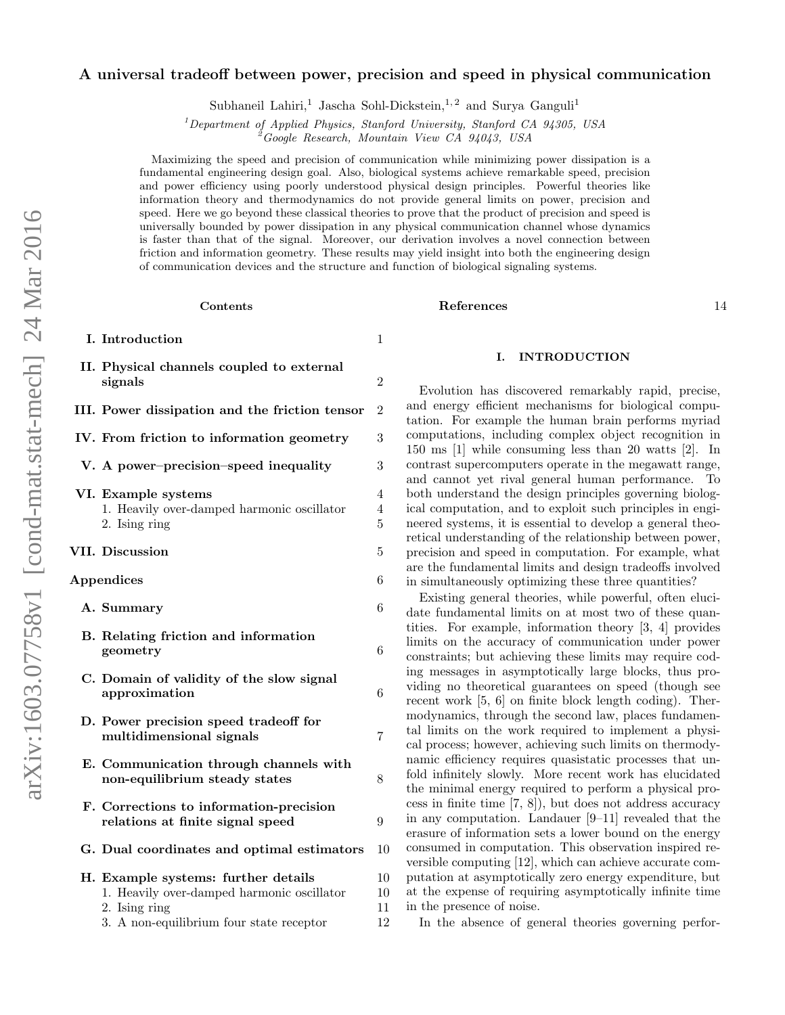## A universal tradeoff between power, precision and speed in physical communication

Subhaneil Lahiri,<sup>1</sup> Jascha Sohl-Dickstein,<sup>1,2</sup> and Surya Ganguli<sup>1</sup>

 $1$ Department of Applied Physics, Stanford University, Stanford CA 94305, USA

<sup>2</sup>Google Research, Mountain View CA 94043, USA

Maximizing the speed and precision of communication while minimizing power dissipation is a fundamental engineering design goal. Also, biological systems achieve remarkable speed, precision and power efficiency using poorly understood physical design principles. Powerful theories like information theory and thermodynamics do not provide general limits on power, precision and speed. Here we go beyond these classical theories to prove that the product of precision and speed is universally bounded by power dissipation in any physical communication channel whose dynamics is faster than that of the signal. Moreover, our derivation involves a novel connection between friction and information geometry. These results may yield insight into both the engineering design of communication devices and the structure and function of biological signaling systems.

#### Contents

| I. Introduction                                                                                                                                | 1                        |
|------------------------------------------------------------------------------------------------------------------------------------------------|--------------------------|
| II. Physical channels coupled to external<br>signals                                                                                           | $\overline{2}$           |
| III. Power dissipation and the friction tensor                                                                                                 | 2                        |
| IV. From friction to information geometry                                                                                                      | 3                        |
| V. A power-precision-speed inequality                                                                                                          | 3                        |
| VI. Example systems<br>1. Heavily over-damped harmonic oscillator<br>2. Ising ring                                                             | 4<br>4<br>$\overline{5}$ |
| VII. Discussion                                                                                                                                | 5                        |
| Appendices                                                                                                                                     | 6                        |
| A. Summary                                                                                                                                     | 6                        |
| B. Relating friction and information<br>geometry                                                                                               | 6                        |
| C. Domain of validity of the slow signal<br>approximation                                                                                      | 6                        |
| D. Power precision speed tradeoff for<br>multidimensional signals                                                                              | 7                        |
| E. Communication through channels with<br>non-equilibrium steady states                                                                        | 8                        |
| F. Corrections to information-precision<br>relations at finite signal speed                                                                    | 9                        |
| G. Dual coordinates and optimal estimators                                                                                                     | 10                       |
| H. Example systems: further details<br>1. Heavily over-damped harmonic oscillator<br>2. Ising ring<br>3. A non-equilibrium four state receptor | 10<br>10<br>11<br>12     |

## References [14](#page-13-0)

# <span id="page-0-0"></span>I. INTRODUCTION

Evolution has discovered remarkably rapid, precise, and energy efficient mechanisms for biological computation. For example the human brain performs myriad computations, including complex object recognition in 150 ms [\[1\]](#page-13-1) while consuming less than 20 watts [\[2\]](#page-13-2). In contrast supercomputers operate in the megawatt range, and cannot yet rival general human performance. To both understand the design principles governing biological computation, and to exploit such principles in engineered systems, it is essential to develop a general theoretical understanding of the relationship between power, precision and speed in computation. For example, what are the fundamental limits and design tradeoffs involved in simultaneously optimizing these three quantities?

Existing general theories, while powerful, often elucidate fundamental limits on at most two of these quantities. For example, information theory [\[3,](#page-13-3) [4\]](#page-13-4) provides limits on the accuracy of communication under power constraints; but achieving these limits may require coding messages in asymptotically large blocks, thus providing no theoretical guarantees on speed (though see recent work [\[5,](#page-13-5) [6\]](#page-13-6) on finite block length coding). Thermodynamics, through the second law, places fundamental limits on the work required to implement a physical process; however, achieving such limits on thermodynamic efficiency requires quasistatic processes that unfold infinitely slowly. More recent work has elucidated the minimal energy required to perform a physical process in finite time [\[7,](#page-13-7) [8\]](#page-13-8)), but does not address accuracy in any computation. Landauer [\[9–](#page-13-9)[11\]](#page-13-10) revealed that the erasure of information sets a lower bound on the energy consumed in computation. This observation inspired reversible computing [\[12\]](#page-13-11), which can achieve accurate computation at asymptotically zero energy expenditure, but at the expense of requiring asymptotically infinite time in the presence of noise.

In the absence of general theories governing perfor-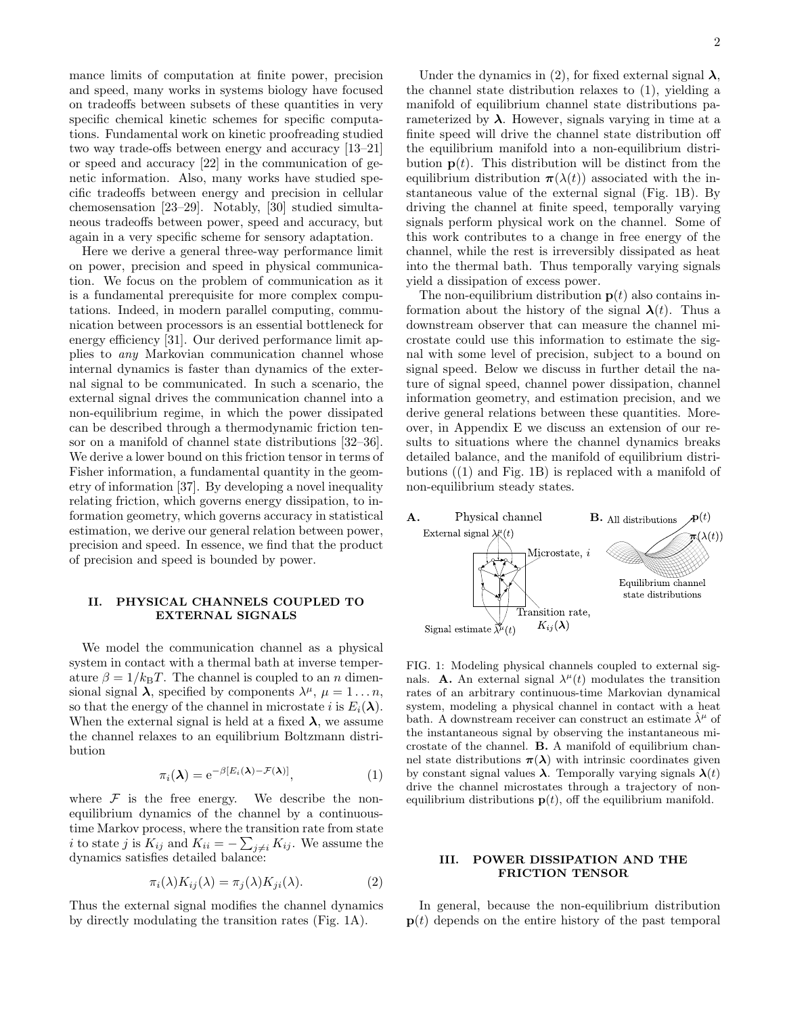mance limits of computation at finite power, precision and speed, many works in systems biology have focused on tradeoffs between subsets of these quantities in very specific chemical kinetic schemes for specific computations. Fundamental work on kinetic proofreading studied two way trade-offs between energy and accuracy [\[13](#page-13-12)[–21\]](#page-13-13) or speed and accuracy [\[22\]](#page-13-14) in the communication of genetic information. Also, many works have studied specific tradeoffs between energy and precision in cellular chemosensation [\[23](#page-13-15)[–29\]](#page-13-16). Notably, [\[30\]](#page-13-17) studied simultaneous tradeoffs between power, speed and accuracy, but again in a very specific scheme for sensory adaptation.

Here we derive a general three-way performance limit on power, precision and speed in physical communication. We focus on the problem of communication as it is a fundamental prerequisite for more complex computations. Indeed, in modern parallel computing, communication between processors is an essential bottleneck for energy efficiency [\[31\]](#page-13-18). Our derived performance limit applies to any Markovian communication channel whose internal dynamics is faster than dynamics of the external signal to be communicated. In such a scenario, the external signal drives the communication channel into a non-equilibrium regime, in which the power dissipated can be described through a thermodynamic friction tensor on a manifold of channel state distributions [\[32–](#page-13-19)[36\]](#page-14-0). We derive a lower bound on this friction tensor in terms of Fisher information, a fundamental quantity in the geometry of information [\[37\]](#page-14-1). By developing a novel inequality relating friction, which governs energy dissipation, to information geometry, which governs accuracy in statistical estimation, we derive our general relation between power, precision and speed. In essence, we find that the product of precision and speed is bounded by power.

## <span id="page-1-0"></span>II. PHYSICAL CHANNELS COUPLED TO EXTERNAL SIGNALS

We model the communication channel as a physical system in contact with a thermal bath at inverse temperature  $\beta = 1/k_BT$ . The channel is coupled to an n dimensional signal  $\lambda$ , specified by components  $\lambda^{\mu}$ ,  $\mu = 1...n$ , so that the energy of the channel in microstate i is  $E_i(\lambda)$ . When the external signal is held at a fixed  $\lambda$ , we assume the channel relaxes to an equilibrium Boltzmann distribution

<span id="page-1-5"></span>
$$
\pi_i(\lambda) = e^{-\beta [E_i(\lambda) - \mathcal{F}(\lambda)]}, \tag{1}
$$

where  $F$  is the free energy. We describe the nonequilibrium dynamics of the channel by a continuoustime Markov process, where the transition rate from state *i* to state *j* is  $K_{ij}$  and  $K_{ii} = -\sum_{j \neq i} K_{ij}$ . We assume the dynamics satisfies detailed balance:

<span id="page-1-4"></span>
$$
\pi_i(\lambda)K_{ij}(\lambda) = \pi_j(\lambda)K_{ji}(\lambda). \tag{2}
$$

Thus the external signal modifies the channel dynamics by directly modulating the transition rates [\(Fig. 1](#page-1-2)[A\)](#page-1-3).

Under the dynamics in [\(2\)](#page-1-4), for fixed external signal  $\lambda$ , the channel state distribution relaxes to [\(1\)](#page-1-5), yielding a manifold of equilibrium channel state distributions parameterized by  $\lambda$ . However, signals varying in time at a finite speed will drive the channel state distribution off the equilibrium manifold into a non-equilibrium distribution  $p(t)$ . This distribution will be distinct from the equilibrium distribution  $\pi(\lambda(t))$  associated with the instantaneous value of the external signal [\(Fig. 1](#page-1-2)[B\)](#page-1-6). By driving the channel at finite speed, temporally varying signals perform physical work on the channel. Some of this work contributes to a change in free energy of the channel, while the rest is irreversibly dissipated as heat into the thermal bath. Thus temporally varying signals yield a dissipation of excess power.

The non-equilibrium distribution  $p(t)$  also contains information about the history of the signal  $\lambda(t)$ . Thus a downstream observer that can measure the channel microstate could use this information to estimate the signal with some level of precision, subject to a bound on signal speed. Below we discuss in further detail the nature of signal speed, channel power dissipation, channel information geometry, and estimation precision, and we derive general relations between these quantities. Moreover, in [Appendix E](#page-7-0) we discuss an extension of our results to situations where the channel dynamics breaks detailed balance, and the manifold of equilibrium distributions ([\(1\)](#page-1-5) and [Fig. 1](#page-1-2)[B\)](#page-1-6) is replaced with a manifold of non-equilibrium steady states.

<span id="page-1-6"></span><span id="page-1-3"></span>

<span id="page-1-2"></span>FIG. 1: Modeling physical channels coupled to external signals. **[A.](#page-1-3)** An external signal  $\lambda^{\mu}(t)$  modulates the transition rates of an arbitrary continuous-time Markovian dynamical system, modeling a physical channel in contact with a heat bath. A downstream receiver can construct an estimate  $\hat{\lambda}^{\mu}$  of the instantaneous signal by observing the instantaneous microstate of the channel. [B.](#page-1-6) A manifold of equilibrium channel state distributions  $\pi(\lambda)$  with intrinsic coordinates given by constant signal values  $\lambda$ . Temporally varying signals  $\lambda(t)$ drive the channel microstates through a trajectory of nonequilibrium distributions  $p(t)$ , off the equilibrium manifold.

## <span id="page-1-1"></span>III. POWER DISSIPATION AND THE FRICTION TENSOR

In general, because the non-equilibrium distribution  $p(t)$  depends on the entire history of the past temporal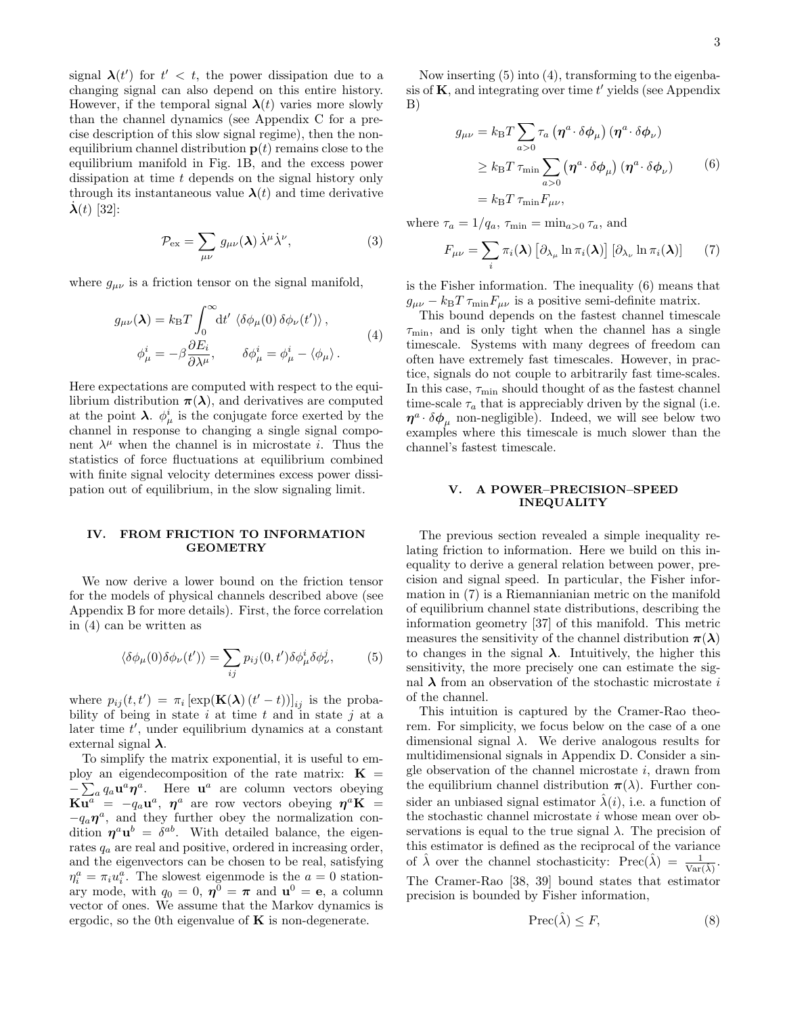signal  $\lambda(t')$  for  $t' < t$ , the power dissipation due to a changing signal can also depend on this entire history. However, if the temporal signal  $\lambda(t)$  varies more slowly than the channel dynamics (see [Appendix C](#page-5-3) for a precise description of this slow signal regime), then the nonequilibrium channel distribution  $p(t)$  remains close to the equilibrium manifold in [Fig. 1](#page-1-2)[B,](#page-1-6) and the excess power dissipation at time t depends on the signal history only through its instantaneous value  $\lambda(t)$  and time derivative  $\lambda(t)$  [\[32\]](#page-13-19):

<span id="page-2-6"></span>
$$
\mathcal{P}_{\rm ex} = \sum_{\mu\nu} g_{\mu\nu}(\lambda) \,\dot{\lambda}^{\mu} \dot{\lambda}^{\nu},\tag{3}
$$

where  $g_{\mu\nu}$  is a friction tensor on the signal manifold,

<span id="page-2-2"></span>
$$
g_{\mu\nu}(\lambda) = k_{\rm B}T \int_0^\infty dt' \langle \delta \phi_\mu(0) \delta \phi_\nu(t') \rangle ,
$$
  

$$
\phi_\mu^i = -\beta \frac{\partial E_i}{\partial \lambda^\mu}, \qquad \delta \phi_\mu^i = \phi_\mu^i - \langle \phi_\mu \rangle .
$$
 (4)

Here expectations are computed with respect to the equilibrium distribution  $\pi(\lambda)$ , and derivatives are computed at the point  $\lambda$ .  $\phi^i_\mu$  is the conjugate force exerted by the channel in response to changing a single signal component  $\lambda^{\mu}$  when the channel is in microstate *i*. Thus the statistics of force fluctuations at equilibrium combined with finite signal velocity determines excess power dissipation out of equilibrium, in the slow signaling limit.

## <span id="page-2-0"></span>IV. FROM FRICTION TO INFORMATION **GEOMETRY**

We now derive a lower bound on the friction tensor for the models of physical channels described above (see [Appendix B](#page-5-2) for more details). First, the force correlation in [\(4\)](#page-2-2) can be written as

<span id="page-2-3"></span>
$$
\langle \delta \phi_{\mu}(0) \delta \phi_{\nu}(t') \rangle = \sum_{ij} p_{ij}(0, t') \delta \phi_{\mu}^{i} \delta \phi_{\nu}^{j}, \tag{5}
$$

where  $p_{ij}(t, t') = \pi_i \left[ \exp(\mathbf{K}(\lambda) (t'-t)) \right]_{ij}$  is the probability of being in state i at time t and in state j at a later time  $t'$ , under equilibrium dynamics at a constant external signal  $\lambda$ .

To simplify the matrix exponential, it is useful to employ an eigendecomposition of the rate matrix:  $\mathbf{K} =$  $-\sum_a q_a \mathbf{u}^a \boldsymbol{\eta}^a$ . Here  $\mathbf{u}^a$  are column vectors obeying  $\overline{\mathbf{Ku}^{a}}^{a} = -q_{a}\mathbf{u}^{a}$ ,  $\boldsymbol{\eta}^{a}$  are row vectors obeying  $\boldsymbol{\eta}^{a}\mathbf{K}$  =  $-q_a\eta^a$ , and they further obey the normalization condition  $\eta^a u^b = \delta^{ab}$ . With detailed balance, the eigenrates  $q_a$  are real and positive, ordered in increasing order, and the eigenvectors can be chosen to be real, satisfying  $\eta_i^a = \pi_i u_i^a$ . The slowest eigenmode is the  $a = 0$  stationary mode, with  $q_0 = 0$ ,  $\mathbf{\eta}^0 = \mathbf{\pi}$  and  $\mathbf{u}^0 = \mathbf{e}$ , a column vector of ones. We assume that the Markov dynamics is ergodic, so the 0th eigenvalue of  $\bf{K}$  is non-degenerate.

Now inserting [\(5\)](#page-2-3) into [\(4\)](#page-2-2), transforming to the eigenbasis of  $K$ , and integrating over time  $t'$  yields (see [Appendix](#page-5-2) [B\)](#page-5-2)

<span id="page-2-4"></span>
$$
g_{\mu\nu} = k_{\text{B}}T \sum_{a>0} \tau_a \left( \eta^a \cdot \delta \phi_\mu \right) \left( \eta^a \cdot \delta \phi_\nu \right)
$$
  
\n
$$
\geq k_{\text{B}}T \tau_{\min} \sum_{a>0} \left( \eta^a \cdot \delta \phi_\mu \right) \left( \eta^a \cdot \delta \phi_\nu \right) \tag{6}
$$
  
\n
$$
= k_{\text{B}}T \tau_{\min} F_{\mu\nu},
$$

where  $\tau_a = 1/q_a$ ,  $\tau_{\min} = \min_{a>0} \tau_a$ , and

<span id="page-2-5"></span>
$$
F_{\mu\nu} = \sum_{i} \pi_{i}(\boldsymbol{\lambda}) \left[ \partial_{\lambda_{\mu}} \ln \pi_{i}(\boldsymbol{\lambda}) \right] \left[ \partial_{\lambda_{\nu}} \ln \pi_{i}(\boldsymbol{\lambda}) \right] \qquad (7)
$$

is the Fisher information. The inequality [\(6\)](#page-2-4) means that  $g_{\mu\nu} - k_{\rm B}T \tau_{\rm min}F_{\mu\nu}$  is a positive semi-definite matrix.

This bound depends on the fastest channel timescale  $\tau_{\rm min}$ , and is only tight when the channel has a single timescale. Systems with many degrees of freedom can often have extremely fast timescales. However, in practice, signals do not couple to arbitrarily fast time-scales. In this case,  $\tau_{\rm min}$  should thought of as the fastest channel time-scale  $\tau_a$  that is appreciably driven by the signal (i.e.  $\eta^a \cdot \delta \phi_\mu$  non-negligible). Indeed, we will see below two examples where this timescale is much slower than the channel's fastest timescale.

## <span id="page-2-1"></span>V. A POWER–PRECISION–SPEED INEQUALITY

The previous section revealed a simple inequality relating friction to information. Here we build on this inequality to derive a general relation between power, precision and signal speed. In particular, the Fisher information in [\(7\)](#page-2-5) is a Riemannianian metric on the manifold of equilibrium channel state distributions, describing the information geometry [\[37\]](#page-14-1) of this manifold. This metric measures the sensitivity of the channel distribution  $\pi(\lambda)$ to changes in the signal  $\lambda$ . Intuitively, the higher this sensitivity, the more precisely one can estimate the signal  $\lambda$  from an observation of the stochastic microstate i of the channel.

This intuition is captured by the Cramer-Rao theorem. For simplicity, we focus below on the case of a one dimensional signal  $\lambda$ . We derive analogous results for multidimensional signals in [Appendix D.](#page-6-0) Consider a single observation of the channel microstate  $i$ , drawn from the equilibrium channel distribution  $\pi(\lambda)$ . Further consider an unbiased signal estimator  $\hat{\lambda}(i)$ , i.e. a function of the stochastic channel microstate  $i$  whose mean over observations is equal to the true signal  $\lambda$ . The precision of this estimator is defined as the reciprocal of the variance of  $\hat{\lambda}$  over the channel stochasticity: Prec $(\hat{\lambda}) = \frac{1}{Var(\hat{\lambda})}$ . The Cramer-Rao [\[38,](#page-14-2) [39\]](#page-14-3) bound states that estimator precision is bounded by Fisher information,

<span id="page-2-7"></span>
$$
\text{Prec}(\hat{\lambda}) \le F,\tag{8}
$$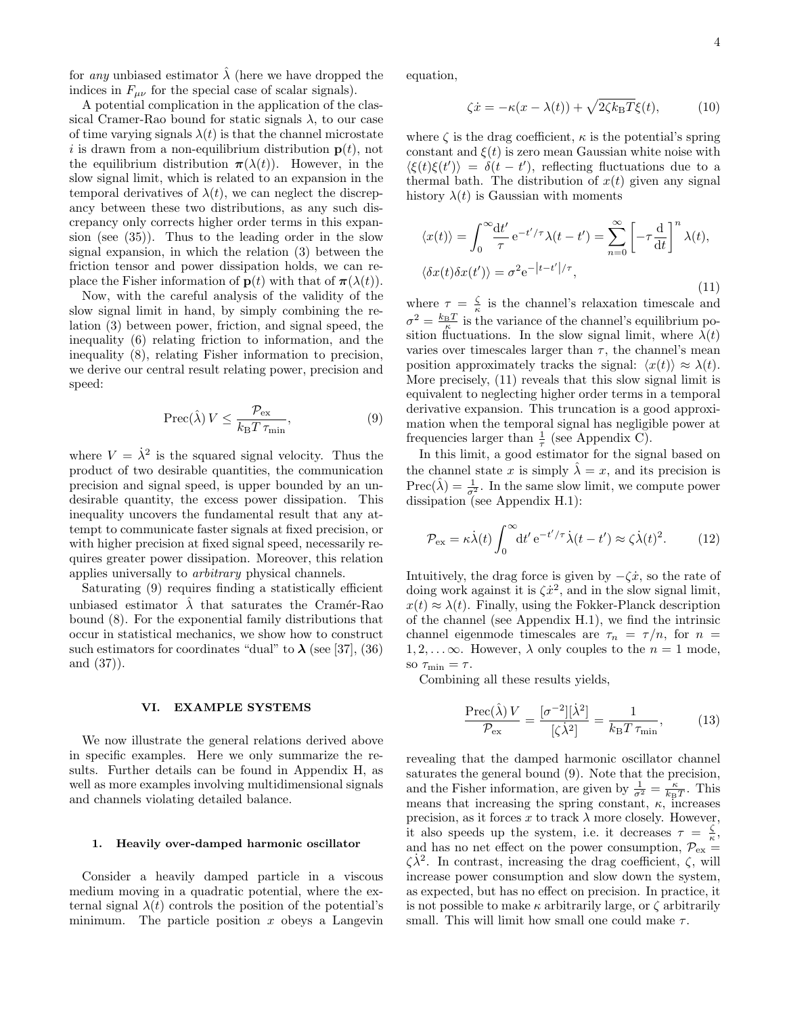for any unbiased estimator  $\hat{\lambda}$  (here we have dropped the indices in  $F_{\mu\nu}$  for the special case of scalar signals).

A potential complication in the application of the classical Cramer-Rao bound for static signals  $\lambda$ , to our case of time varying signals  $\lambda(t)$  is that the channel microstate i is drawn from a non-equilibrium distribution  $p(t)$ , not the equilibrium distribution  $\pi(\lambda(t))$ . However, in the slow signal limit, which is related to an expansion in the temporal derivatives of  $\lambda(t)$ , we can neglect the discrepancy between these two distributions, as any such discrepancy only corrects higher order terms in this expansion (see [\(35\)](#page-8-1)). Thus to the leading order in the slow signal expansion, in which the relation [\(3\)](#page-2-6) between the friction tensor and power dissipation holds, we can replace the Fisher information of  $p(t)$  with that of  $\pi(\lambda(t))$ .

Now, with the careful analysis of the validity of the slow signal limit in hand, by simply combining the relation [\(3\)](#page-2-6) between power, friction, and signal speed, the inequality [\(6\)](#page-2-4) relating friction to information, and the inequality [\(8\)](#page-2-7), relating Fisher information to precision, we derive our central result relating power, precision and speed:

<span id="page-3-2"></span>
$$
\operatorname{Prec}(\hat{\lambda}) V \le \frac{\mathcal{P}_{\text{ex}}}{k_{\text{B}} T \,\tau_{\text{min}}},\tag{9}
$$

where  $V = \dot{\lambda}^2$  is the squared signal velocity. Thus the product of two desirable quantities, the communication precision and signal speed, is upper bounded by an undesirable quantity, the excess power dissipation. This inequality uncovers the fundamental result that any attempt to communicate faster signals at fixed precision, or with higher precision at fixed signal speed, necessarily requires greater power dissipation. Moreover, this relation applies universally to arbitrary physical channels.

Saturating [\(9\)](#page-3-2) requires finding a statistically efficient unbiased estimator  $\hat{\lambda}$  that saturates the Cramér-Rao bound [\(8\)](#page-2-7). For the exponential family distributions that occur in statistical mechanics, we show how to construct such estimators for coordinates "dual" to  $\lambda$  (see [\[37\]](#page-14-1), [\(36\)](#page-9-3) and [\(37\)](#page-9-4)).

### <span id="page-3-0"></span>VI. EXAMPLE SYSTEMS

We now illustrate the general relations derived above in specific examples. Here we only summarize the results. Further details can be found in [Appendix H,](#page-9-1) as well as more examples involving [multidimensional signals](#page-10-0) and [channels violating detailed balance.](#page-11-0)

## <span id="page-3-1"></span>1. Heavily over-damped harmonic oscillator

Consider a heavily damped particle in a viscous medium moving in a quadratic potential, where the external signal  $\lambda(t)$  controls the position of the potential's minimum. The particle position  $x$  obeys a Langevin equation,

$$
\zeta \dot{x} = -\kappa (x - \lambda(t)) + \sqrt{2\zeta k_{\rm B}T}\xi(t),\tag{10}
$$

where  $\zeta$  is the drag coefficient,  $\kappa$  is the potential's spring constant and  $\xi(t)$  is zero mean Gaussian white noise with  $\langle \xi(t)\xi(t') \rangle = \delta(t-t')$ , reflecting fluctuations due to a thermal bath. The distribution of  $x(t)$  given any signal history  $\lambda(t)$  is Gaussian with moments

<span id="page-3-3"></span>
$$
\langle x(t) \rangle = \int_0^\infty \frac{\mathrm{d}t'}{\tau} e^{-t'/\tau} \lambda(t - t') = \sum_{n=0}^\infty \left[ -\tau \frac{\mathrm{d}}{\mathrm{d}t} \right]^n \lambda(t),
$$
  

$$
\langle \delta x(t) \delta x(t') \rangle = \sigma^2 e^{-|t - t'|/\tau},
$$
\n(11)

where  $\tau = \frac{\zeta}{\kappa}$  is the channel's relaxation timescale and  $\sigma^2 = \frac{k_B T}{\kappa}$  is the variance of the channel's equilibrium position fluctuations. In the slow signal limit, where  $\lambda(t)$ varies over timescales larger than  $\tau$ , the channel's mean position approximately tracks the signal:  $\langle x(t) \rangle \approx \lambda(t)$ . More precisely, [\(11\)](#page-3-3) reveals that this slow signal limit is equivalent to neglecting higher order terms in a temporal derivative expansion. This truncation is a good approximation when the temporal signal has negligible power at frequencies larger than  $\frac{1}{\tau}$  (see [Appendix C\)](#page-5-3).

In this limit, a good estimator for the signal based on the channel state x is simply  $\hat{\lambda} = x$ , and its precision is  $\text{Prec}(\hat{\lambda}) = \frac{1}{\sigma^2}$ . In the same slow limit, we compute power dissipation (see [Appendix H.1\)](#page-9-2):

$$
\mathcal{P}_{\rm ex} = \kappa \dot{\lambda}(t) \int_0^\infty dt' \, \mathrm{e}^{-t'/\tau} \dot{\lambda}(t - t') \approx \zeta \dot{\lambda}(t)^2. \tag{12}
$$

Intuitively, the drag force is given by  $-\zeta\dot{x}$ , so the rate of doing work against it is  $\zeta \dot{x}^2$ , and in the slow signal limit,  $x(t) \approx \lambda(t)$ . Finally, using the Fokker-Planck description of the channel (see [Appendix H.1\)](#page-9-2), we find the intrinsic channel eigenmode timescales are  $\tau_n = \tau/n$ , for  $n =$  $1, 2, \ldots \infty$ . However,  $\lambda$  only couples to the  $n = 1$  mode, so  $\tau_{\min} = \tau$ .

Combining all these results yields,

$$
\frac{\text{Prec}(\hat{\lambda})V}{\mathcal{P}_{\text{ex}}} = \frac{[\sigma^{-2}][\dot{\lambda}^2]}{[\dot{\zeta}\dot{\lambda}^2]} = \frac{1}{k_{\text{B}}T\,\tau_{\text{min}}},\tag{13}
$$

revealing that the damped harmonic oscillator channel saturates the general bound [\(9\)](#page-3-2). Note that the precision, and the Fisher information, are given by  $\frac{1}{\sigma^2} = \frac{\kappa}{k_B T}$ . This means that increasing the spring constant,  $\kappa$ , increases precision, as it forces x to track  $\lambda$  more closely. However, it also speeds up the system, i.e. it decreases  $\tau = \frac{\zeta}{\kappa}$ , and has no net effect on the power consumption,  $\mathcal{P}_{ex}$  =  $\zeta \dot{\lambda}^2$ . In contrast, increasing the drag coefficient,  $\zeta$ , will increase power consumption and slow down the system, as expected, but has no effect on precision. In practice, it is not possible to make  $\kappa$  arbitrarily large, or  $\zeta$  arbitrarily small. This will limit how small one could make  $\tau$ .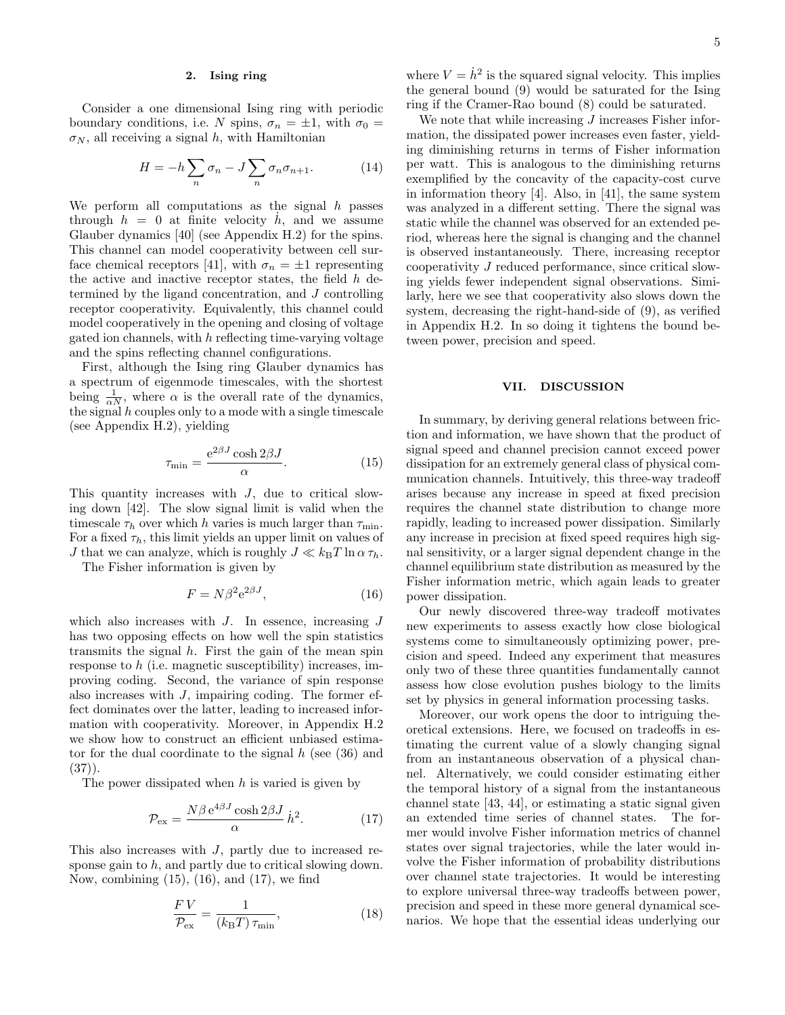#### <span id="page-4-0"></span>2. Ising ring

Consider a one dimensional Ising ring with periodic boundary conditions, i.e. N spins,  $\sigma_n = \pm 1$ , with  $\sigma_0 =$  $\sigma_N$ , all receiving a signal h, with Hamiltonian

$$
H = -h \sum_{n} \sigma_n - J \sum_{n} \sigma_n \sigma_{n+1}.
$$
 (14)

We perform all computations as the signal  $h$  passes through  $h = 0$  at finite velocity  $\dot{h}$ , and we assume Glauber dynamics [\[40\]](#page-14-4) (see [Appendix H.2\)](#page-10-0) for the spins. This channel can model cooperativity between cell sur-face chemical receptors [\[41\]](#page-14-5), with  $\sigma_n = \pm 1$  representing the active and inactive receptor states, the field  $h$  determined by the ligand concentration, and J controlling receptor cooperativity. Equivalently, this channel could model cooperatively in the opening and closing of voltage gated ion channels, with  $h$  reflecting time-varying voltage and the spins reflecting channel configurations.

First, although the Ising ring Glauber dynamics has a spectrum of eigenmode timescales, with the shortest being  $\frac{1}{\alpha N}$ , where  $\alpha$  is the overall rate of the dynamics, the signal  $h$  couples only to a mode with a single timescale (see [Appendix H.2\)](#page-10-0), yielding

<span id="page-4-2"></span>
$$
\tau_{\min} = \frac{e^{2\beta J} \cosh 2\beta J}{\alpha}.
$$
\n(15)

This quantity increases with  $J$ , due to critical slowing down [\[42\]](#page-14-6). The slow signal limit is valid when the timescale  $\tau_h$  over which h varies is much larger than  $\tau_{\min}$ . For a fixed  $\tau_h$ , this limit yields an upper limit on values of J that we can analyze, which is roughly  $J \ll k_BT \ln \alpha \tau_h$ .

The Fisher information is given by

<span id="page-4-3"></span>
$$
F = N\beta^2 e^{2\beta J},\tag{16}
$$

which also increases with  $J$ . In essence, increasing  $J$ has two opposing effects on how well the spin statistics transmits the signal  $h$ . First the gain of the mean spin response to  $h$  (i.e. magnetic susceptibility) increases, improving coding. Second, the variance of spin response also increases with  $J$ , impairing coding. The former effect dominates over the latter, leading to increased information with cooperativity. Moreover, in [Appendix H.2](#page-10-0) we show how to construct an efficient unbiased estimator for the dual coordinate to the signal  $h$  (see [\(36\)](#page-9-3) and  $(37)$ .

The power dissipated when  $h$  is varied is given by

<span id="page-4-4"></span>
$$
\mathcal{P}_{\rm ex} = \frac{N\beta \,\mathrm{e}^{4\beta J} \cosh 2\beta J}{\alpha} \,\dot{h}^2. \tag{17}
$$

This also increases with  $J$ , partly due to increased response gain to  $h$ , and partly due to critical slowing down. Now, combining [\(15\)](#page-4-2), [\(16\)](#page-4-3), and [\(17\)](#page-4-4), we find

$$
\frac{FV}{\mathcal{P}_{\text{ex}}} = \frac{1}{(k_{\text{B}}T)\,\tau_{\text{min}}},\tag{18}
$$

where  $V = \dot{h}^2$  is the squared signal velocity. This implies the general bound [\(9\)](#page-3-2) would be saturated for the Ising ring if the Cramer-Rao bound [\(8\)](#page-2-7) could be saturated.

We note that while increasing  $J$  increases Fisher information, the dissipated power increases even faster, yielding diminishing returns in terms of Fisher information per watt. This is analogous to the diminishing returns exemplified by the concavity of the capacity-cost curve in information theory [\[4\]](#page-13-4). Also, in [\[41\]](#page-14-5), the same system was analyzed in a different setting. There the signal was static while the channel was observed for an extended period, whereas here the signal is changing and the channel is observed instantaneously. There, increasing receptor cooperativity J reduced performance, since critical slowing yields fewer independent signal observations. Similarly, here we see that cooperativity also slows down the system, decreasing the right-hand-side of [\(9\)](#page-3-2), as verified in [Appendix H.2.](#page-10-0) In so doing it tightens the bound between power, precision and speed.

### <span id="page-4-1"></span>VII. DISCUSSION

In summary, by deriving general relations between friction and information, we have shown that the product of signal speed and channel precision cannot exceed power dissipation for an extremely general class of physical communication channels. Intuitively, this three-way tradeoff arises because any increase in speed at fixed precision requires the channel state distribution to change more rapidly, leading to increased power dissipation. Similarly any increase in precision at fixed speed requires high signal sensitivity, or a larger signal dependent change in the channel equilibrium state distribution as measured by the Fisher information metric, which again leads to greater power dissipation.

Our newly discovered three-way tradeoff motivates new experiments to assess exactly how close biological systems come to simultaneously optimizing power, precision and speed. Indeed any experiment that measures only two of these three quantities fundamentally cannot assess how close evolution pushes biology to the limits set by physics in general information processing tasks.

Moreover, our work opens the door to intriguing theoretical extensions. Here, we focused on tradeoffs in estimating the current value of a slowly changing signal from an instantaneous observation of a physical channel. Alternatively, we could consider estimating either the temporal history of a signal from the instantaneous channel state [\[43,](#page-14-7) [44\]](#page-14-8), or estimating a static signal given an extended time series of channel states. The former would involve Fisher information metrics of channel states over signal trajectories, while the later would involve the Fisher information of probability distributions over channel state trajectories. It would be interesting to explore universal three-way tradeoffs between power, precision and speed in these more general dynamical scenarios. We hope that the essential ideas underlying our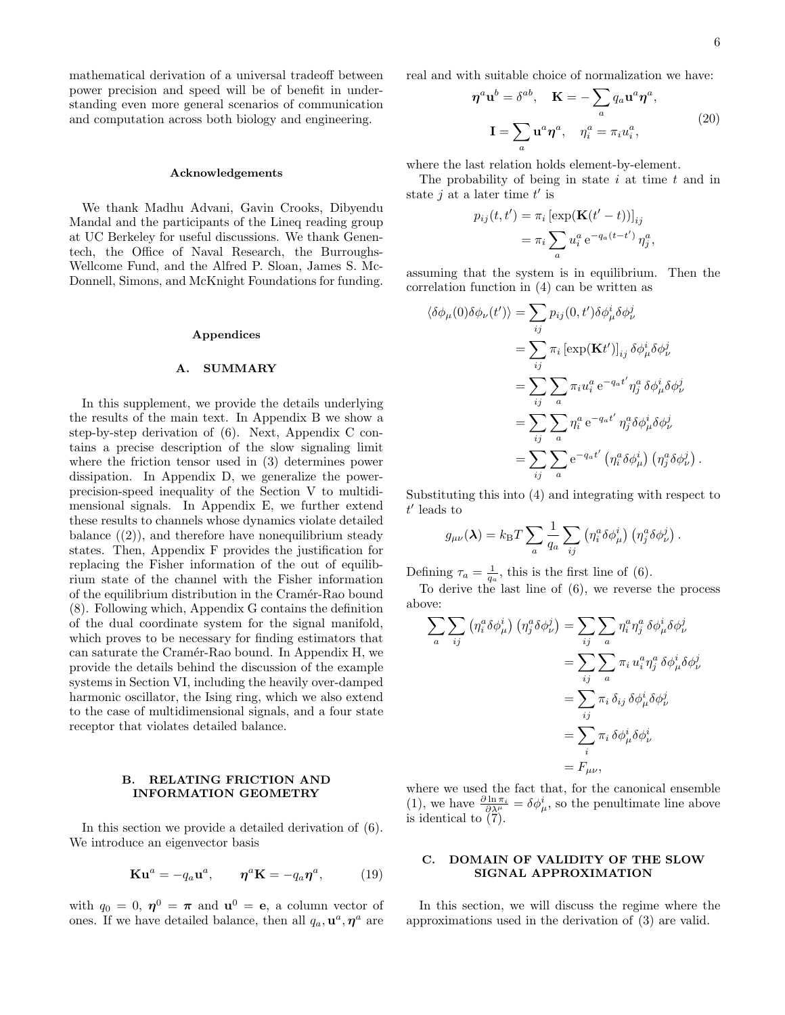mathematical derivation of a universal tradeoff between power precision and speed will be of benefit in understanding even more general scenarios of communication and computation across both biology and engineering.

#### Acknowledgements

We thank Madhu Advani, Gavin Crooks, Dibyendu Mandal and the participants of the Lineq reading group at UC Berkeley for useful discussions. We thank Genentech, the Office of Naval Research, the Burroughs-Wellcome Fund, and the Alfred P. Sloan, James S. Mc-Donnell, Simons, and McKnight Foundations for funding.

#### Appendices

#### <span id="page-5-1"></span>A. SUMMARY

<span id="page-5-0"></span>In this supplement, we provide the details underlying the results of the main text. In [Appendix B](#page-5-2) we show a step-by-step derivation of [\(6\)](#page-2-4). Next, [Appendix C](#page-5-3) contains a precise description of the slow signaling limit where the friction tensor used in [\(3\)](#page-2-6) determines power dissipation. In [Appendix D,](#page-6-0) we generalize the powerprecision-speed inequality of the [Section V](#page-2-1) to multidimensional signals. In [Appendix E,](#page-7-0) we further extend these results to channels whose dynamics violate detailed balance  $(2)$ , and therefore have nonequilibrium steady states. Then, [Appendix F](#page-8-0) provides the justification for replacing the Fisher information of the out of equilibrium state of the channel with the Fisher information of the equilibrium distribution in the Cramér-Rao bound [\(8\)](#page-2-7). Following which, [Appendix G](#page-9-0) contains the definition of the dual coordinate system for the signal manifold, which proves to be necessary for finding estimators that can saturate the Cramér-Rao bound. In [Appendix H,](#page-9-1) we provide the details behind the discussion of the example systems in [Section VI,](#page-3-0) including the [heavily over-damped](#page-9-2) [harmonic oscillator,](#page-9-2) the [Ising ring,](#page-10-0) which we also extend to the case of multidimensional signals, and a [four state](#page-11-0) [receptor](#page-11-0) that violates detailed balance.

#### <span id="page-5-2"></span>B. RELATING FRICTION AND INFORMATION GEOMETRY

In this section we provide a detailed derivation of [\(6\)](#page-2-4). We introduce an eigenvector basis

<span id="page-5-4"></span>
$$
\mathbf{Ku}^{a} = -q_{a}\mathbf{u}^{a}, \qquad \boldsymbol{\eta}^{a}\mathbf{K} = -q_{a}\boldsymbol{\eta}^{a}, \qquad (19)
$$

with  $q_0 = 0$ ,  $\eta^0 = \pi$  and  $\mathbf{u}^0 = \mathbf{e}$ , a column vector of ones. If we have detailed balance, then all  $q_a, \mathbf{u}^a, \eta^a$  are real and with suitable choice of normalization we have:

<span id="page-5-5"></span>
$$
\eta^{a} \mathbf{u}^{b} = \delta^{ab}, \quad \mathbf{K} = -\sum_{a} q_{a} \mathbf{u}^{a} \eta^{a},
$$

$$
\mathbf{I} = \sum_{a} \mathbf{u}^{a} \eta^{a}, \quad \eta_{i}^{a} = \pi_{i} u_{i}^{a}, \tag{20}
$$

where the last relation holds element-by-element.

The probability of being in state  $i$  at time  $t$  and in state  $j$  at a later time  $t'$  is

$$
p_{ij}(t, t') = \pi_i \left[ \exp(\mathbf{K}(t'-t)) \right]_{ij}
$$

$$
= \pi_i \sum_a u_i^a e^{-q_a(t-t')} \eta_j^a,
$$

assuming that the system is in equilibrium. Then the correlation function in [\(4\)](#page-2-2) can be written as

$$
\langle \delta \phi_{\mu}(0) \delta \phi_{\nu}(t') \rangle = \sum_{ij} p_{ij}(0, t') \delta \phi_{\mu}^{i} \delta \phi_{\nu}^{j}
$$
  
\n
$$
= \sum_{ij} \pi_{i} \left[ \exp(\mathbf{K}t') \right]_{ij} \delta \phi_{\mu}^{i} \delta \phi_{\nu}^{j}
$$
  
\n
$$
= \sum_{ij} \sum_{a} \pi_{i} u_{i}^{a} e^{-q_{a}t'} \eta_{j}^{a} \delta \phi_{\mu}^{i} \delta \phi_{\nu}^{j}
$$
  
\n
$$
= \sum_{ij} \sum_{a} \eta_{i}^{a} e^{-q_{a}t'} \eta_{j}^{a} \delta \phi_{\mu}^{i} \delta \phi_{\nu}^{j}
$$
  
\n
$$
= \sum_{ij} \sum_{a} e^{-q_{a}t'} (\eta_{i}^{a} \delta \phi_{\mu}^{i}) (\eta_{j}^{a} \delta \phi_{\nu}^{j}).
$$

Substituting this into [\(4\)](#page-2-2) and integrating with respect to  $t'$  leads to

$$
g_{\mu\nu}(\lambda) = k_{\rm B}T \sum_a \frac{1}{q_a} \sum_{ij} (\eta_i^a \delta \phi_\mu^i) (\eta_j^a \delta \phi_\nu^j).
$$

Defining  $\tau_a = \frac{1}{q_a}$ , this is the first line of [\(6\)](#page-2-4).

To derive the last line of [\(6\)](#page-2-4), we reverse the process above:

$$
\sum_{a} \sum_{ij} \left( \eta_i^a \delta \phi_\mu^i \right) \left( \eta_j^a \delta \phi_\nu^j \right) = \sum_{ij} \sum_{a} \eta_i^a \eta_j^a \delta \phi_\mu^i \delta \phi_\nu^j
$$
  

$$
= \sum_{ij} \sum_{a} \pi_i u_i^a \eta_j^a \delta \phi_\mu^i \delta \phi_\nu^j
$$
  

$$
= \sum_{ij} \pi_i \delta_{ij} \delta \phi_\mu^i \delta \phi_\nu^j
$$
  

$$
= \sum_{i} \pi_i \delta \phi_\mu^i \delta \phi_\nu^i
$$
  

$$
= F_{\mu\nu},
$$

where we used the fact that, for the canonical ensemble [\(1\)](#page-1-5), we have  $\frac{\partial \ln \pi_i}{\partial \lambda_i^{\mu}} = \delta \phi^i_{\mu}$ , so the penultimate line above is identical to [\(7\)](#page-2-5).

## <span id="page-5-3"></span>C. DOMAIN OF VALIDITY OF THE SLOW SIGNAL APPROXIMATION

In this section, we will discuss the regime where the approximations used in the derivation of [\(3\)](#page-2-6) are valid.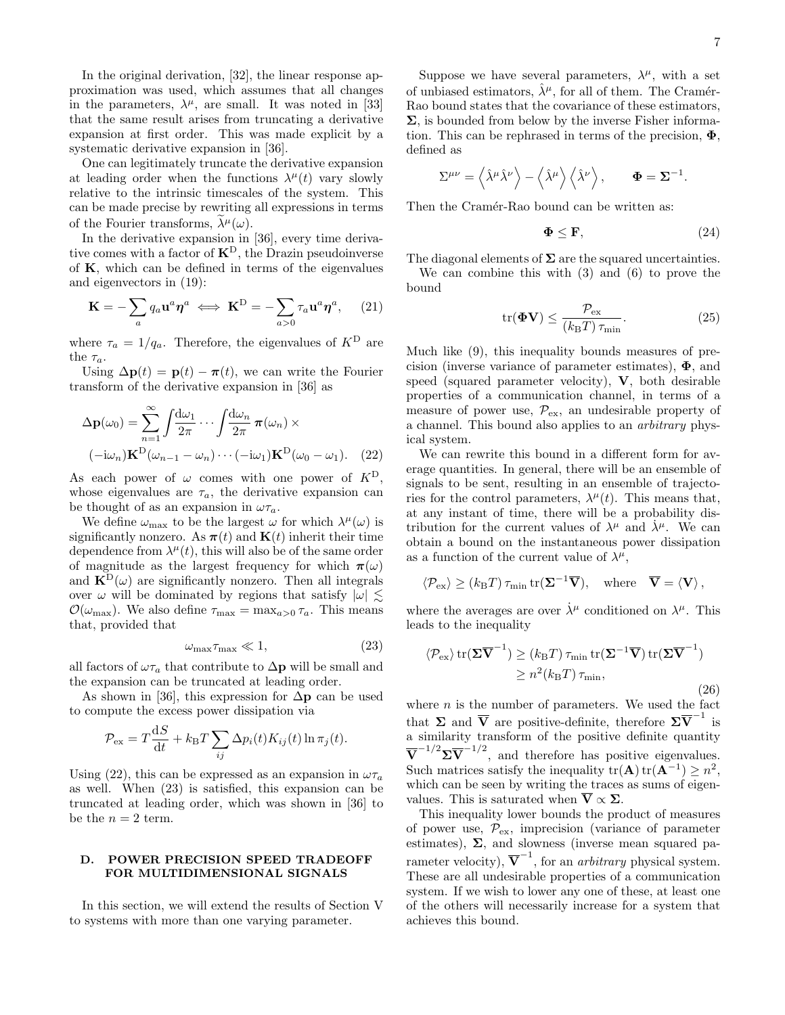In the original derivation, [\[32\]](#page-13-19), the linear response approximation was used, which assumes that all changes in the parameters,  $\lambda^{\mu}$ , are small. It was noted in [\[33\]](#page-14-9) that the same result arises from truncating a derivative expansion at first order. This was made explicit by a systematic derivative expansion in [\[36\]](#page-14-0).

One can legitimately truncate the derivative expansion at leading order when the functions  $\lambda^{\mu}(t)$  vary slowly relative to the intrinsic timescales of the system. This can be made precise by rewriting all expressions in terms of the Fourier transforms,  $\lambda^{\mu}(\omega)$ .

In the derivative expansion in [\[36\]](#page-14-0), every time derivative comes with a factor of  $K^D$ , the Drazin pseudoinverse of K, which can be defined in terms of the eigenvalues and eigenvectors in [\(19\)](#page-5-4):

<span id="page-6-3"></span>
$$
\mathbf{K} = -\sum_{a} q_a \mathbf{u}^a \boldsymbol{\eta}^a \iff \mathbf{K}^D = -\sum_{a>0} \tau_a \mathbf{u}^a \boldsymbol{\eta}^a, \quad (21)
$$

where  $\tau_a = 1/q_a$ . Therefore, the eigenvalues of  $K^D$  are the  $\tau_a$ .

Using  $\Delta \mathbf{p}(t) = \mathbf{p}(t) - \pi(t)$ , we can write the Fourier transform of the derivative expansion in [\[36\]](#page-14-0) as

$$
\Delta \mathbf{p}(\omega_0) = \sum_{n=1}^{\infty} \int \frac{d\omega_1}{2\pi} \cdots \int \frac{d\omega_n}{2\pi} \pi(\omega_n) \times (-i\omega_n) \mathbf{K}^{\mathcal{D}}(\omega_{n-1} - \omega_n) \cdots (-i\omega_1) \mathbf{K}^{\mathcal{D}}(\omega_0 - \omega_1).
$$
 (22)

As each power of  $\omega$  comes with one power of  $K^D$ , whose eigenvalues are  $\tau_a$ , the derivative expansion can be thought of as an expansion in  $\omega \tau_a$ .

We define  $\omega_{\text{max}}$  to be the largest  $\omega$  for which  $\lambda^{\mu}(\omega)$  is significantly nonzero. As  $\pi(t)$  and  $\mathbf{K}(t)$  inherit their time dependence from  $\lambda^{\mu}(t)$ , this will also be of the same order of magnitude as the largest frequency for which  $\pi(\omega)$ and  $\mathbf{K}^{\text{D}}(\omega)$  are significantly nonzero. Then all integrals over  $\omega$  will be dominated by regions that satisfy  $|\omega| \lesssim$  $\mathcal{O}(\omega_{\text{max}})$ . We also define  $\tau_{\text{max}} = \max_{a>0} \tau_a$ . This means that, provided that

<span id="page-6-2"></span>
$$
\omega_{\text{max}} \tau_{\text{max}} \ll 1,\tag{23}
$$

all factors of  $\omega\tau_a$  that contribute to  $\Delta p$  will be small and the expansion can be truncated at leading order.

As shown in [\[36\]](#page-14-0), this expression for  $\Delta p$  can be used to compute the excess power dissipation via

$$
\mathcal{P}_{\rm ex} = T \frac{\mathrm{d}S}{\mathrm{d}t} + k_{\rm B}T \sum_{ij} \Delta p_i(t) K_{ij}(t) \ln \pi_j(t).
$$

Using [\(22\)](#page-6-1), this can be expressed as an expansion in  $\omega\tau_a$ as well. When [\(23\)](#page-6-2) is satisfied, this expansion can be truncated at leading order, which was shown in [\[36\]](#page-14-0) to be the  $n = 2$  term.

## <span id="page-6-0"></span>D. POWER PRECISION SPEED TRADEOFF FOR MULTIDIMENSIONAL SIGNALS

In this section, we will extend the results of [Section V](#page-2-1) to systems with more than one varying parameter.

Suppose we have several parameters,  $\lambda^{\mu}$ , with a set of unbiased estimators,  $\hat{\lambda}^{\mu}$ , for all of them. The Cramér-Rao bound states that the covariance of these estimators,  $\Sigma$ , is bounded from below by the inverse Fisher information. This can be rephrased in terms of the precision,  $\Phi$ , defined as

$$
\Sigma^{\mu\nu} = \left\langle \hat{\lambda}^{\mu} \hat{\lambda}^{\nu} \right\rangle - \left\langle \hat{\lambda}^{\mu} \right\rangle \left\langle \hat{\lambda}^{\nu} \right\rangle, \qquad \Phi = \Sigma^{-1}.
$$

Then the Cramér-Rao bound can be written as:

<span id="page-6-6"></span>
$$
\mathbf{\Phi} \le \mathbf{F},\tag{24}
$$

The diagonal elements of  $\Sigma$  are the squared uncertainties.

We can combine this with [\(3\)](#page-2-6) and [\(6\)](#page-2-4) to prove the bound

<span id="page-6-4"></span>
$$
\text{tr}(\mathbf{\Phi V}) \le \frac{\mathcal{P}_{\text{ex}}}{(k_{\text{B}}T)\,\tau_{\text{min}}}.\tag{25}
$$

Much like [\(9\)](#page-3-2), this inequality bounds measures of precision (inverse variance of parameter estimates),  $\Phi$ , and speed (squared parameter velocity), V, both desirable properties of a communication channel, in terms of a measure of power use,  $\mathcal{P}_{\rm ex}$ , an undesirable property of a channel. This bound also applies to an arbitrary physical system.

<span id="page-6-1"></span>We can rewrite this bound in a different form for average quantities. In general, there will be an ensemble of signals to be sent, resulting in an ensemble of trajectories for the control parameters,  $\lambda^{\mu}(t)$ . This means that, at any instant of time, there will be a probability distribution for the current values of  $\lambda^{\mu}$  and  $\lambda^{\mu}$ . We can obtain a bound on the instantaneous power dissipation as a function of the current value of  $\lambda^{\mu}$ ,

$$
\langle \mathcal{P}_{\text{ex}} \rangle \ge (k_{\text{B}}T) \tau_{\min} \text{tr}(\mathbf{\Sigma}^{-1}\overline{\mathbf{V}}), \text{ where } \overline{\mathbf{V}} = \langle \mathbf{V} \rangle,
$$

where the averages are over  $\dot{\lambda}^{\mu}$  conditioned on  $\lambda^{\mu}$ . This leads to the inequality

<span id="page-6-5"></span>
$$
\langle \mathcal{P}_{\rm ex} \rangle \operatorname{tr}(\mathbf{\Sigma} \overline{\mathbf{V}}^{-1}) \ge (k_{\rm B}T) \tau_{\rm min} \operatorname{tr}(\mathbf{\Sigma}^{-1} \overline{\mathbf{V}}) \operatorname{tr}(\mathbf{\Sigma} \overline{\mathbf{V}}^{-1})
$$
  
 
$$
\ge n^2 (k_{\rm B}T) \tau_{\rm min}, \tag{26}
$$

where  $n$  is the number of parameters. We used the fact that  $\Sigma$  and  $\overline{V}$  are positive-definite, therefore  $\Sigma \overline{V}^{-1}$  is a similarity transform of the positive definite quantity  $\overline{\mathbf{V}}^{-1/2} \Sigma \overline{\mathbf{V}}^{-1/2}$ , and therefore has positive eigenvalues. Such matrices satisfy the inequality  $tr(\mathbf{A}) tr(\mathbf{A}^{-1}) \geq n^2$ , which can be seen by writing the traces as sums of eigenvalues. This is saturated when  $\overline{\mathbf{V}} \propto \Sigma$ .

This inequality lower bounds the product of measures of power use,  $\mathcal{P}_{\text{ex}}$ , imprecision (variance of parameter estimates),  $\Sigma$ , and slowness (inverse mean squared parameter velocity),  $\overline{\mathbf{V}}^{-1}$ , for an *arbitrary* physical system. These are all undesirable properties of a communication system. If we wish to lower any one of these, at least one of the others will necessarily increase for a system that achieves this bound.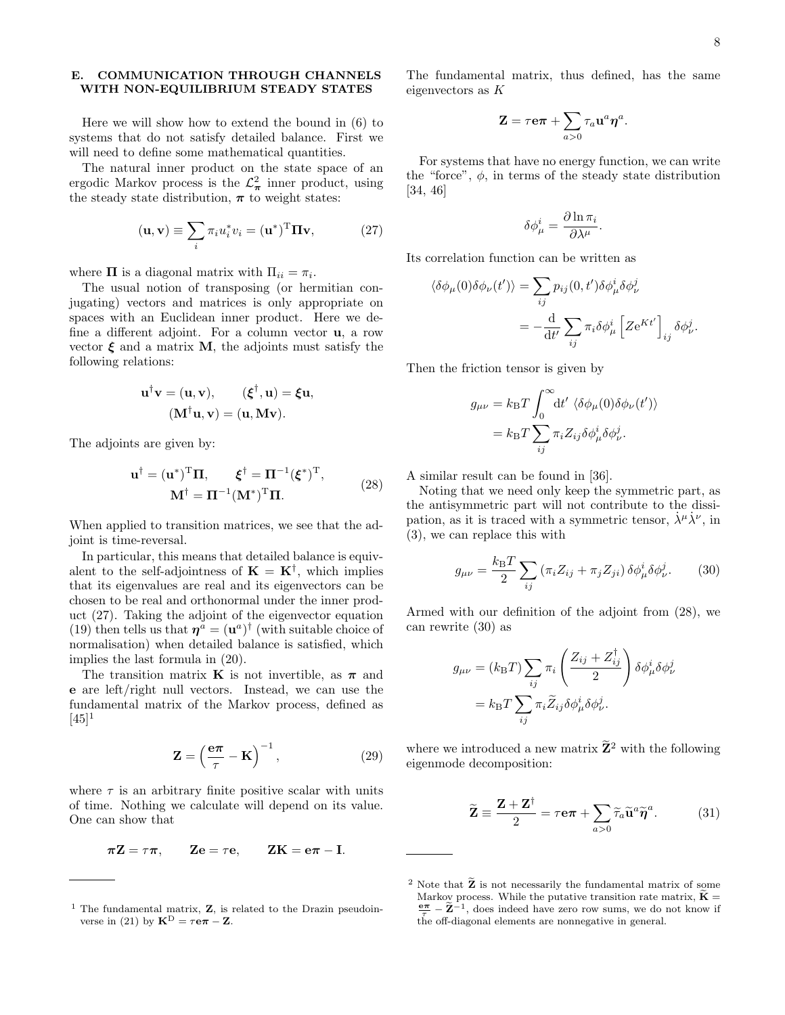## <span id="page-7-0"></span>E. COMMUNICATION THROUGH CHANNELS WITH NON-EQUILIBRIUM STEADY STATES

Here we will show how to extend the bound in [\(6\)](#page-2-4) to systems that do not satisfy detailed balance. First we will need to define some mathematical quantities.

The natural inner product on the state space of an ergodic Markov process is the  $\mathcal{L}^2_{\pi}$  inner product, using the steady state distribution,  $\pi$  to weight states:

<span id="page-7-1"></span>
$$
(\mathbf{u}, \mathbf{v}) \equiv \sum_{i} \pi_i u_i^* v_i = (\mathbf{u}^*)^{\mathrm{T}} \mathbf{\Pi} \mathbf{v}, \tag{27}
$$

where  $\Pi$  is a diagonal matrix with  $\Pi_{ii} = \pi_i$ .

The usual notion of transposing (or hermitian conjugating) vectors and matrices is only appropriate on spaces with an Euclidean inner product. Here we define a different adjoint. For a column vector u, a row vector  $\xi$  and a matrix **M**, the adjoints must satisfy the following relations:

$$
\mathbf{u}^{\dagger}\mathbf{v} = (\mathbf{u}, \mathbf{v}), \qquad (\boldsymbol{\xi}^{\dagger}, \mathbf{u}) = \boldsymbol{\xi}\mathbf{u}, (\mathbf{M}^{\dagger}\mathbf{u}, \mathbf{v}) = (\mathbf{u}, \mathbf{M}\mathbf{v}).
$$

The adjoints are given by:

<span id="page-7-2"></span>
$$
\mathbf{u}^{\dagger} = (\mathbf{u}^*)^{\mathrm{T}} \mathbf{\Pi}, \qquad \boldsymbol{\xi}^{\dagger} = \mathbf{\Pi}^{-1} (\boldsymbol{\xi}^*)^{\mathrm{T}},
$$
  

$$
\mathbf{M}^{\dagger} = \mathbf{\Pi}^{-1} (\mathbf{M}^*)^{\mathrm{T}} \mathbf{\Pi}.
$$
 (28)

When applied to transition matrices, we see that the adjoint is time-reversal.

In particular, this means that detailed balance is equivalent to the self-adjointness of  $\mathbf{K} = \mathbf{K}^{\dagger}$ , which implies that its eigenvalues are real and its eigenvectors can be chosen to be real and orthonormal under the inner product [\(27\)](#page-7-1). Taking the adjoint of the eigenvector equation [\(19\)](#page-5-4) then tells us that  $\eta^a = (\mathbf{u}^a)^{\dagger}$  (with suitable choice of normalisation) when detailed balance is satisfied, which implies the last formula in [\(20\)](#page-5-5).

The transition matrix **K** is not invertible, as  $\pi$  and e are left/right null vectors. Instead, we can use the fundamental matrix of the Markov process, defined as  $[45]$ <sup>1</sup>

<span id="page-7-5"></span>
$$
\mathbf{Z} = \left(\frac{\mathbf{e}\pi}{\tau} - \mathbf{K}\right)^{-1},\tag{29}
$$

where  $\tau$  is an arbitrary finite positive scalar with units of time. Nothing we calculate will depend on its value. One can show that

$$
\pi Z = \tau \pi, \qquad Ze = \tau e, \qquad ZK = e\pi - I.
$$

The fundamental matrix, thus defined, has the same eigenvectors as K

$$
\mathbf{Z} = \tau \mathbf{e} \boldsymbol{\pi} + \sum_{a>0} \tau_a \mathbf{u}^a \boldsymbol{\eta}^a.
$$

For systems that have no energy function, we can write the "force",  $\phi$ , in terms of the steady state distribution [\[34,](#page-14-11) [46\]](#page-14-12)

$$
\delta \phi^i_\mu = \frac{\partial \ln \pi_i}{\partial \lambda^\mu}.
$$

Its correlation function can be written as

$$
\langle \delta \phi_{\mu}(0) \delta \phi_{\nu}(t') \rangle = \sum_{ij} p_{ij}(0, t') \delta \phi_{\mu}^{i} \delta \phi_{\nu}^{j}
$$

$$
= -\frac{d}{dt'} \sum_{ij} \pi_{i} \delta \phi_{\mu}^{i} \left[ Z e^{Kt'} \right]_{ij} \delta \phi_{\nu}^{j}.
$$

Then the friction tensor is given by

$$
g_{\mu\nu} = k_{\rm B}T \int_0^\infty \! \mathrm{d}t' \, \langle \delta \phi_\mu(0) \delta \phi_\nu(t') \rangle
$$
  
=  $k_{\rm B}T \sum_{ij} \pi_i Z_{ij} \delta \phi_\mu^i \delta \phi_\nu^j.$ 

A similar result can be found in [\[36\]](#page-14-0).

Noting that we need only keep the symmetric part, as the antisymmetric part will not contribute to the dissipation, as it is traced with a symmetric tensor,  $\dot{\lambda}^{\mu} \dot{\lambda}^{\nu}$ , in [\(3\)](#page-2-6), we can replace this with

<span id="page-7-3"></span>
$$
g_{\mu\nu} = \frac{k_{\rm B}T}{2} \sum_{ij} \left( \pi_i Z_{ij} + \pi_j Z_{ji} \right) \delta \phi^i_{\mu} \delta \phi^j_{\nu}.
$$
 (30)

Armed with our definition of the adjoint from [\(28\)](#page-7-2), we can rewrite [\(30\)](#page-7-3) as

$$
g_{\mu\nu} = (k_{\rm B}T) \sum_{ij} \pi_i \left( \frac{Z_{ij} + Z_{ij}^{\dagger}}{2} \right) \delta \phi_{\mu}^i \delta \phi_{\nu}^j
$$

$$
= k_{\rm B}T \sum_{ij} \pi_i \widetilde{Z}_{ij} \delta \phi_{\mu}^i \delta \phi_{\nu}^j.
$$

where we introduced a new matrix  $\widetilde{\mathbf{Z}}^2$  with the following eigenmode decomposition:

<span id="page-7-4"></span>
$$
\widetilde{\mathbf{Z}} \equiv \frac{\mathbf{Z} + \mathbf{Z}^{\dagger}}{2} = \tau \mathbf{e} \pi + \sum_{a>0} \widetilde{\tau}_a \widetilde{\mathbf{u}}^a \widetilde{\eta}^a. \tag{31}
$$

<sup>&</sup>lt;sup>1</sup> The fundamental matrix, **Z**, is related to the Drazin pseudoin-verse in [\(21\)](#page-6-3) by  $\mathbf{K}^{\text{D}} = \tau \mathbf{e} \pi - \mathbf{Z}$ .

<sup>&</sup>lt;sup>2</sup> Note that  $\widetilde{\mathbf{Z}}$  is not necessarily the fundamental matrix of some Markov process. While the putative transition rate matrix,  $\widetilde{\mathbf{K}} =$  $\frac{\pi}{\tau} - \widetilde{\mathbf{Z}}^{-1}$ , does indeed have zero row sums, we do not know if the off-diagonal elements are nonnegative in general.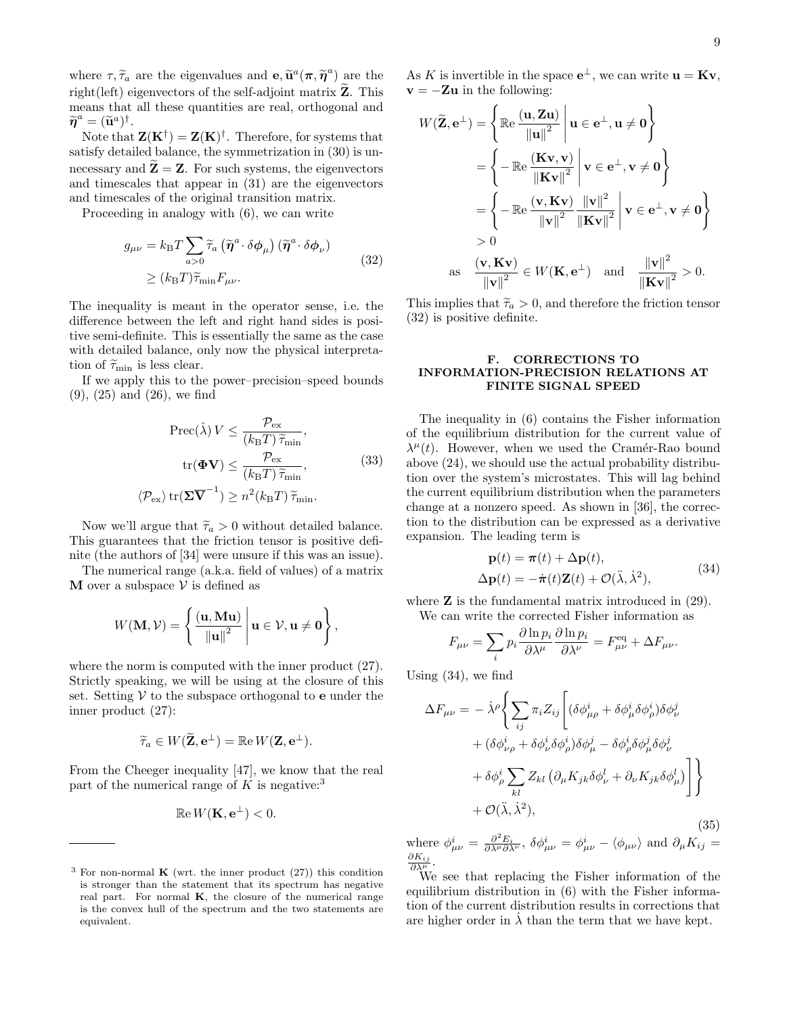where  $\tau$ ,  $\widetilde{\tau}_a$  are the eigenvalues and  $\mathbf{e}, \widetilde{\mathbf{u}}^a(\pi, \widetilde{\eta}^a)$  are the right(left) eigenvectors of the self-adjoint matrix  $\widetilde{Z}$ . This means that all these quantities are real, orthogonal and  $\widetilde{\eta}^a = (\widetilde{\mathbf{u}}^a)^{\dagger}.$ <br>Note that

Note that  $\mathbf{Z}(\mathbf{K}^{\dagger}) = \mathbf{Z}(\mathbf{K})^{\dagger}$ . Therefore, for systems that satisfy detailed balance, the symmetrization in [\(30\)](#page-7-3) is unnecessary and  $\widetilde{\mathbf{Z}} = \mathbf{Z}$ . For such systems, the eigenvectors and timescales that appear in [\(31\)](#page-7-4) are the eigenvectors and timescales of the original transition matrix.

Proceeding in analogy with [\(6\)](#page-2-4), we can write

<span id="page-8-2"></span>
$$
g_{\mu\nu} = k_{\rm B} T \sum_{a>0} \widetilde{\tau}_a \left( \widetilde{\eta}^a \cdot \delta \phi_\mu \right) \left( \widetilde{\eta}^a \cdot \delta \phi_\nu \right)
$$
  

$$
\geq (k_{\rm B} T) \widetilde{\tau}_{\min} F_{\mu\nu}.
$$
 (32)

The inequality is meant in the operator sense, i.e. the difference between the left and right hand sides is positive semi-definite. This is essentially the same as the case with detailed balance, only now the physical interpretation of  $\widetilde{\tau}_{\min}$  is less clear.

If we apply this to the power–precision–speed bounds [\(9\)](#page-3-2), [\(25\)](#page-6-4) and [\(26\)](#page-6-5), we find

<span id="page-8-4"></span>
$$
\operatorname{Prec}(\hat{\lambda}) V \le \frac{\mathcal{P}_{\text{ex}}}{(k_{\text{B}}T)\,\tilde{\tau}_{\text{min}}},
$$

$$
\operatorname{tr}(\boldsymbol{\Phi}\mathbf{V}) \le \frac{\mathcal{P}_{\text{ex}}}{(k_{\text{B}}T)\,\tilde{\tau}_{\text{min}}},
$$

$$
\langle \mathcal{P}_{\text{ex}} \rangle \operatorname{tr}(\boldsymbol{\Sigma}\overline{\mathbf{V}}^{-1}) \ge n^2(k_{\text{B}}T)\,\tilde{\tau}_{\text{min}}.
$$
(33)

Now we'll argue that  $\tilde{\tau}_a > 0$  without detailed balance. This guarantees that the friction tensor is positive definite (the authors of [\[34\]](#page-14-11) were unsure if this was an issue).

The numerical range (a.k.a. field of values) of a matrix **M** over a subspace  $V$  is defined as

$$
W(\mathbf{M}, \mathcal{V}) = \left\{ \left. \frac{(\mathbf{u}, \mathbf{M} \mathbf{u})}{\left\| \mathbf{u} \right\|^2} \, \right| \mathbf{u} \in \mathcal{V}, \mathbf{u} \neq \mathbf{0} \right\},
$$

where the norm is computed with the inner product [\(27\)](#page-7-1). Strictly speaking, we will be using at the closure of this set. Setting  $V$  to the subspace orthogonal to **e** under the inner product [\(27\)](#page-7-1):

$$
\widetilde{\tau}_a \in W(\widetilde{\mathbf{Z}}, \mathbf{e}^{\perp}) = \mathbb{R} e W(\mathbf{Z}, \mathbf{e}^{\perp}).
$$

From the Cheeger inequality [\[47\]](#page-14-13), we know that the real part of the numerical range of K is negative:<sup>3</sup>

$$
\mathbb{R}e W(\mathbf{K}, \mathbf{e}^{\perp}) < 0.
$$

As K is invertible in the space  $\mathbf{e}^{\perp}$ , we can write  $\mathbf{u} = \mathbf{K} \mathbf{v}$ ,  $\mathbf{v} = -\mathbf{Z}\mathbf{u}$  in the following:

$$
W(\widetilde{\mathbf{Z}}, \mathbf{e}^{\perp}) = \left\{ \mathbb{Re} \frac{(\mathbf{u}, \mathbf{Z} \mathbf{u})}{\|\mathbf{u}\|^2} \middle| \mathbf{u} \in \mathbf{e}^{\perp}, \mathbf{u} \neq \mathbf{0} \right\}
$$
  
= 
$$
\left\{ -\mathbb{Re} \frac{(\mathbf{K} \mathbf{v}, \mathbf{v})}{\|\mathbf{K} \mathbf{v}\|^2} \middle| \mathbf{v} \in \mathbf{e}^{\perp}, \mathbf{v} \neq \mathbf{0} \right\}
$$
  
= 
$$
\left\{ -\mathbb{Re} \frac{(\mathbf{v}, \mathbf{K} \mathbf{v})}{\|\mathbf{v}\|^2} \frac{\|\mathbf{v}\|^2}{\|\mathbf{K} \mathbf{v}\|^2} \middle| \mathbf{v} \in \mathbf{e}^{\perp}, \mathbf{v} \neq \mathbf{0} \right\}
$$
  
> 0  
as 
$$
\frac{(\mathbf{v}, \mathbf{K} \mathbf{v})}{\|\mathbf{v}\|^2} \in W(\mathbf{K}, \mathbf{e}^{\perp}) \text{ and } \frac{\|\mathbf{v}\|^2}{\|\mathbf{K} \mathbf{v}\|^2} > 0.
$$

This implies that  $\tilde{\tau}_a > 0$ , and therefore the friction tensor [\(32\)](#page-8-2) is positive definite.

## <span id="page-8-0"></span>F. CORRECTIONS TO INFORMATION-PRECISION RELATIONS AT FINITE SIGNAL SPEED

The inequality in [\(6\)](#page-2-4) contains the Fisher information of the equilibrium distribution for the current value of  $\lambda^{\mu}(t)$ . However, when we used the Cramér-Rao bound above [\(24\)](#page-6-6), we should use the actual probability distribution over the system's microstates. This will lag behind the current equilibrium distribution when the parameters change at a nonzero speed. As shown in [\[36\]](#page-14-0), the correction to the distribution can be expressed as a derivative expansion. The leading term is

<span id="page-8-3"></span>
$$
\mathbf{p}(t) = \boldsymbol{\pi}(t) + \Delta \mathbf{p}(t),
$$
  
\n
$$
\Delta \mathbf{p}(t) = -\dot{\boldsymbol{\pi}}(t)\mathbf{Z}(t) + \mathcal{O}(\ddot{\lambda}, \dot{\lambda}^2),
$$
\n(34)

where  $Z$  is the fundamental matrix introduced in  $(29)$ . We can write the corrected Fisher information as

$$
F_{\mu\nu} = \sum_i p_i \frac{\partial \ln p_i}{\partial \lambda^{\mu}} \frac{\partial \ln p_i}{\partial \lambda^{\nu}} = F^{\text{eq}}_{\mu\nu} + \Delta F_{\mu\nu}.
$$

Using [\(34\)](#page-8-3), we find

<span id="page-8-1"></span>
$$
\Delta F_{\mu\nu} = -\dot{\lambda}^{\rho} \Biggl\{ \sum_{ij} \pi_{i} Z_{ij} \Biggl[ (\delta \phi_{\mu\rho}^{i} + \delta \phi_{\mu}^{i} \delta \phi_{\rho}^{i}) \delta \phi_{\nu}^{j} \n+ (\delta \phi_{\nu\rho}^{i} + \delta \phi_{\nu}^{i} \delta \phi_{\rho}^{i}) \delta \phi_{\mu}^{j} - \delta \phi_{\rho}^{i} \delta \phi_{\mu}^{j} \delta \phi_{\nu}^{j} \n+ \delta \phi_{\rho}^{i} \sum_{kl} Z_{kl} \left( \partial_{\mu} K_{jk} \delta \phi_{\nu}^{l} + \partial_{\nu} K_{jk} \delta \phi_{\mu}^{l} \right) \Biggr] \Biggr\} \n+ \mathcal{O}(\ddot{\lambda}, \dot{\lambda}^{2}),
$$
\n(35)

where  $\phi_{\mu\nu}^i = \frac{\partial^2 E_i}{\partial \lambda^{\mu} \partial \lambda^{\nu}}$ ,  $\delta \phi_{\mu\nu}^i = \phi_{\mu\nu}^i - \langle \phi_{\mu\nu} \rangle$  and  $\partial_{\mu} K_{ij} =$  $\partial K_{ij}$  $\frac{\partial K_{ij}}{\partial \lambda^{\mu}}.$ 

We see that replacing the Fisher information of the equilibrium distribution in [\(6\)](#page-2-4) with the Fisher information of the current distribution results in corrections that are higher order in  $\lambda$  than the term that we have kept.

<sup>&</sup>lt;sup>3</sup> For non-normal **K** (wrt. the inner product  $(27)$ ) this condition is stronger than the statement that its spectrum has negative real part. For normal K, the closure of the numerical range is the convex hull of the spectrum and the two statements are equivalent.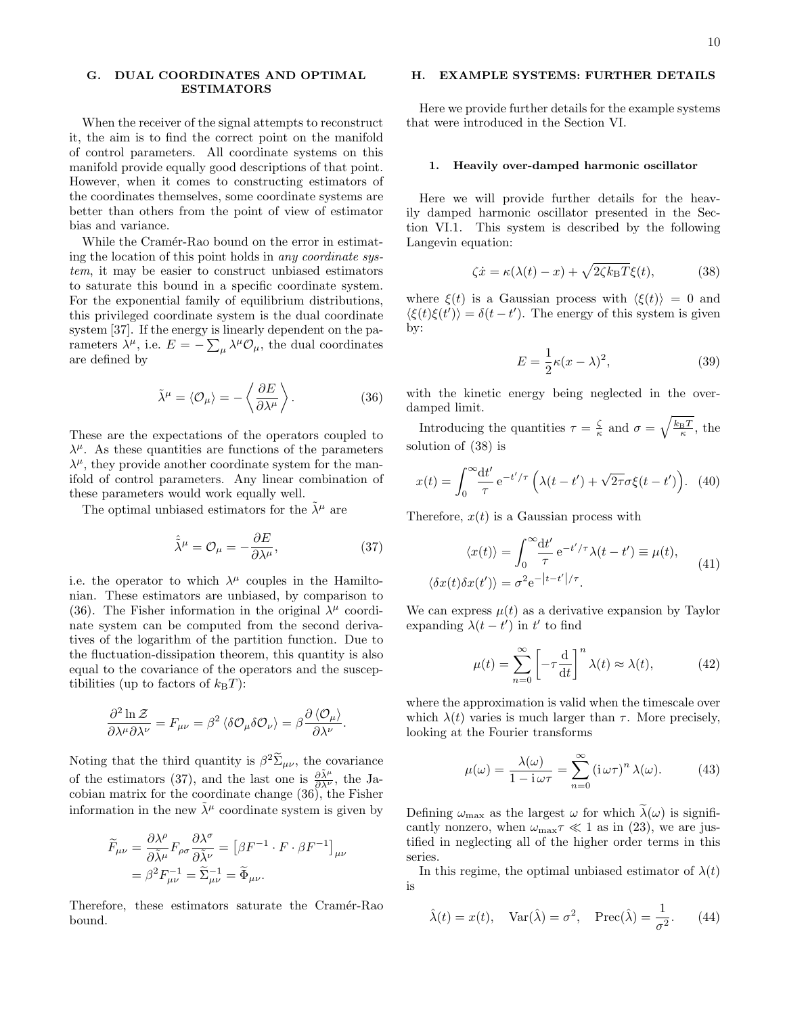## <span id="page-9-0"></span>G. DUAL COORDINATES AND OPTIMAL ESTIMATORS

When the receiver of the signal attempts to reconstruct it, the aim is to find the correct point on the manifold of control parameters. All coordinate systems on this manifold provide equally good descriptions of that point. However, when it comes to constructing estimators of the coordinates themselves, some coordinate systems are better than others from the point of view of estimator bias and variance.

While the Cramér-Rao bound on the error in estimating the location of this point holds in any coordinate system, it may be easier to construct unbiased estimators to saturate this bound in a specific coordinate system. For the exponential family of equilibrium distributions, this privileged coordinate system is the dual coordinate system [\[37\]](#page-14-1). If the energy is linearly dependent on the parameters  $\lambda^{\mu}$ , i.e.  $E = -\sum_{\mu} \lambda^{\mu} \mathcal{O}_{\mu}$ , the dual coordinates are defined by

<span id="page-9-3"></span>
$$
\tilde{\lambda}^{\mu} = \langle \mathcal{O}_{\mu} \rangle = -\left\langle \frac{\partial E}{\partial \lambda^{\mu}} \right\rangle. \tag{36}
$$

These are the expectations of the operators coupled to  $\lambda^{\mu}$ . As these quantities are functions of the parameters  $\lambda^{\mu}$ , they provide another coordinate system for the manifold of control parameters. Any linear combination of these parameters would work equally well.

The optimal unbiased estimators for the  $\lambda^{\mu}$  are

<span id="page-9-4"></span>
$$
\hat{\tilde{\lambda}}^{\mu} = \mathcal{O}_{\mu} = -\frac{\partial E}{\partial \lambda^{\mu}},\tag{37}
$$

i.e. the operator to which  $\lambda^{\mu}$  couples in the Hamiltonian. These estimators are unbiased, by comparison to [\(36\)](#page-9-3). The Fisher information in the original  $\lambda^{\mu}$  coordinate system can be computed from the second derivatives of the logarithm of the partition function. Due to the fluctuation-dissipation theorem, this quantity is also equal to the covariance of the operators and the susceptibilities (up to factors of  $k_BT$ ):

$$
\frac{\partial^2 \ln \mathcal{Z}}{\partial \lambda^{\mu} \partial \lambda^{\nu}} = F_{\mu\nu} = \beta^2 \left\langle \delta \mathcal{O}_{\mu} \delta \mathcal{O}_{\nu} \right\rangle = \beta \frac{\partial \left\langle \mathcal{O}_{\mu} \right\rangle}{\partial \lambda^{\nu}}.
$$

Noting that the third quantity is  $\beta^2 \Sigma_{\mu\nu}$ , the covariance of the estimators [\(37\)](#page-9-4), and the last one is  $\frac{\partial \tilde{\lambda}^{\mu}}{\partial \lambda^{\nu}}$ , the Jacobian matrix for the coordinate change [\(36\)](#page-9-3), the Fisher information in the new  $\tilde{\lambda}^{\mu}$  coordinate system is given by

$$
\begin{split} \widetilde{F}_{\mu\nu} &= \frac{\partial \lambda^{\rho}}{\partial \widetilde{\lambda}^{\mu}} F_{\rho\sigma} \frac{\partial \lambda^{\sigma}}{\partial \widetilde{\lambda}^{\nu}} = \left[ \beta F^{-1} \cdot F \cdot \beta F^{-1} \right]_{\mu\nu} \\ &= \beta^2 F_{\mu\nu}^{-1} = \widetilde{\Sigma}_{\mu\nu}^{-1} = \widetilde{\Phi}_{\mu\nu} .\end{split}
$$

Therefore, these estimators saturate the Cramér-Rao bound.

## <span id="page-9-1"></span>H. EXAMPLE SYSTEMS: FURTHER DETAILS

Here we provide further details for the example systems that were introduced in the [Section VI.](#page-3-0)

#### <span id="page-9-2"></span>1. Heavily over-damped harmonic oscillator

Here we will provide further details for the heavily damped harmonic oscillator presented in the [Sec](#page-3-1)[tion VI.1.](#page-3-1) This system is described by the following Langevin equation:

<span id="page-9-5"></span>
$$
\zeta \dot{x} = \kappa (\lambda(t) - x) + \sqrt{2\zeta k_{\rm B}T} \xi(t),\tag{38}
$$

where  $\xi(t)$  is a Gaussian process with  $\langle \xi(t) \rangle = 0$  and  $\langle \xi(t)\xi(t')\rangle = \delta(t-t')$ . The energy of this system is given by:

$$
E = \frac{1}{2}\kappa(x - \lambda)^2,
$$
\n(39)

with the kinetic energy being neglected in the overdamped limit.

Introducing the quantities  $\tau = \frac{\zeta}{\kappa}$  and  $\sigma = \sqrt{\frac{k_{\rm B}T}{\kappa}}$ , the solution of [\(38\)](#page-9-5) is

$$
x(t) = \int_0^\infty \frac{\mathrm{d}t'}{\tau} e^{-t'/\tau} \left( \lambda(t - t') + \sqrt{2\tau} \sigma \xi(t - t') \right). \tag{40}
$$

Therefore,  $x(t)$  is a Gaussian process with

$$
\langle x(t) \rangle = \int_0^\infty \frac{\mathrm{d}t'}{\tau} e^{-t'/\tau} \lambda(t - t') \equiv \mu(t),
$$
  

$$
\langle \delta x(t) \delta x(t') \rangle = \sigma^2 e^{-|t - t'|/\tau}.
$$
 (41)

We can express  $\mu(t)$  as a derivative expansion by Taylor expanding  $\lambda(t-t')$  in t' to find

$$
\mu(t) = \sum_{n=0}^{\infty} \left[ -\tau \frac{d}{dt} \right]^n \lambda(t) \approx \lambda(t), \quad (42)
$$

where the approximation is valid when the timescale over which  $\lambda(t)$  varies is much larger than  $\tau$ . More precisely, looking at the Fourier transforms

$$
\mu(\omega) = \frac{\lambda(\omega)}{1 - i\,\omega\tau} = \sum_{n=0}^{\infty} (i\,\omega\tau)^n \,\lambda(\omega). \tag{43}
$$

Defining  $\omega_{\text{max}}$  as the largest  $\omega$  for which  $\lambda(\omega)$  is significantly nonzero, when  $\omega_{\text{max}}\tau \ll 1$  as in [\(23\)](#page-6-2), we are justified in neglecting all of the higher order terms in this series.

In this regime, the optimal unbiased estimator of  $\lambda(t)$ is

$$
\hat{\lambda}(t) = x(t), \quad \text{Var}(\hat{\lambda}) = \sigma^2, \quad \text{Prec}(\hat{\lambda}) = \frac{1}{\sigma^2}.
$$
 (44)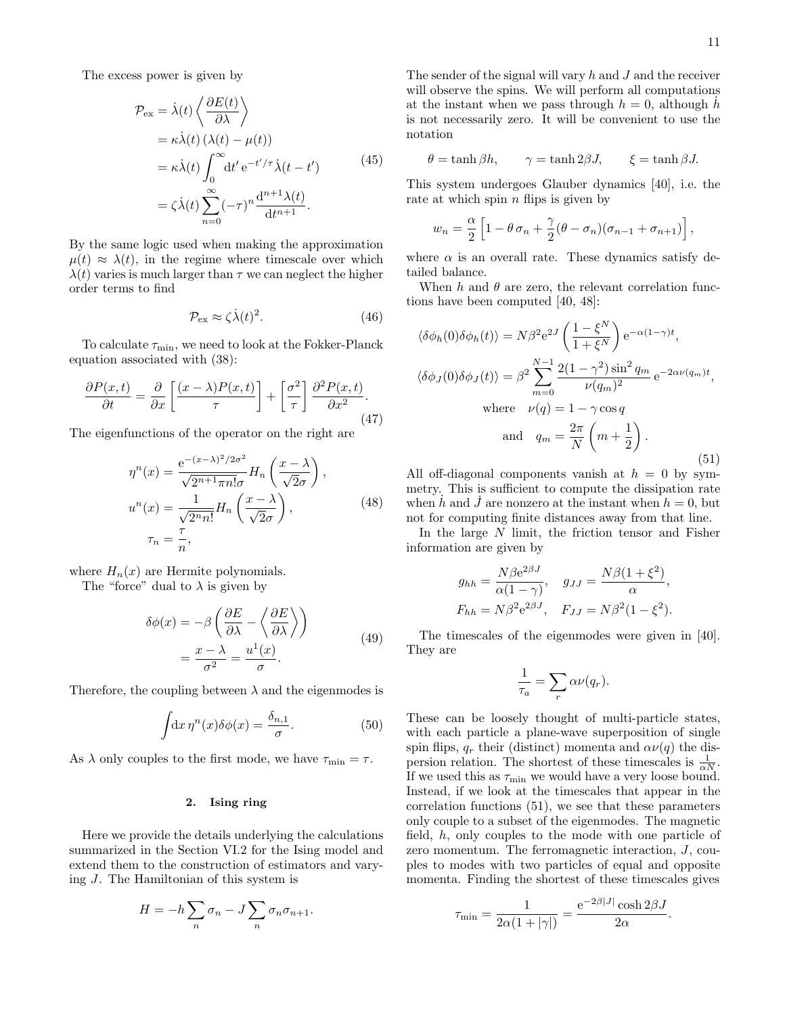The excess power is given by

$$
\mathcal{P}_{\text{ex}} = \dot{\lambda}(t) \left\langle \frac{\partial E(t)}{\partial \lambda} \right\rangle
$$
  
=  $\kappa \dot{\lambda}(t) (\lambda(t) - \mu(t))$   
=  $\kappa \dot{\lambda}(t) \int_0^\infty dt' e^{-t'/\tau} \dot{\lambda}(t - t')$  (45)  
=  $\zeta \dot{\lambda}(t) \sum_{n=0}^\infty (-\tau)^n \frac{d^{n+1} \lambda(t)}{dt^{n+1}}.$ 

By the same logic used when making the approximation  $\mu(t) \approx \lambda(t)$ , in the regime where timescale over which  $\lambda(t)$  varies is much larger than  $\tau$  we can neglect the higher order terms to find

$$
\mathcal{P}_{\text{ex}} \approx \zeta \dot{\lambda}(t)^2. \tag{46}
$$

To calculate  $\tau_{\min}$ , we need to look at the Fokker-Planck equation associated with [\(38\)](#page-9-5):

$$
\frac{\partial P(x,t)}{\partial t} = \frac{\partial}{\partial x} \left[ \frac{(x-\lambda)P(x,t)}{\tau} \right] + \left[ \frac{\sigma^2}{\tau} \right] \frac{\partial^2 P(x,t)}{\partial x^2}.
$$
\n(47)

The eigenfunctions of the operator on the right are

$$
\eta^{n}(x) = \frac{e^{-(x-\lambda)^{2}/2\sigma^{2}}}{\sqrt{2^{n+1}\pi n!}\sigma} H_{n}\left(\frac{x-\lambda}{\sqrt{2}\sigma}\right),
$$
  

$$
u^{n}(x) = \frac{1}{\sqrt{2^{n}n!}} H_{n}\left(\frac{x-\lambda}{\sqrt{2}\sigma}\right),
$$
  

$$
\tau_{n} = \frac{\tau}{n},
$$
 (48)

where  $H_n(x)$  are Hermite polynomials.

The "force" dual to  $\lambda$  is given by

$$
\delta\phi(x) = -\beta \left( \frac{\partial E}{\partial \lambda} - \left\langle \frac{\partial E}{\partial \lambda} \right\rangle \right)
$$
  
=  $\frac{x - \lambda}{\sigma^2} = \frac{u^1(x)}{\sigma}.$  (49)

Therefore, the coupling between  $\lambda$  and the eigenmodes is

$$
\int dx \, \eta^n(x) \delta\phi(x) = \frac{\delta_{n,1}}{\sigma}.\tag{50}
$$

As  $\lambda$  only couples to the first mode, we have  $\tau_{\min} = \tau$ .

## <span id="page-10-0"></span>2. Ising ring

Here we provide the details underlying the calculations summarized in the [Section VI.2](#page-4-0) for the Ising model and extend them to the construction of estimators and varying J. The Hamiltonian of this system is

$$
H = -h \sum_{n} \sigma_n - J \sum_{n} \sigma_n \sigma_{n+1}.
$$

The sender of the signal will vary  $h$  and  $J$  and the receiver will observe the spins. We will perform all computations at the instant when we pass through  $h = 0$ , although h is not necessarily zero. It will be convenient to use the notation

$$
\theta = \tanh \beta h, \qquad \gamma = \tanh 2\beta J, \qquad \xi = \tanh \beta J.
$$

This system undergoes Glauber dynamics [\[40\]](#page-14-4), i.e. the rate at which spin  $n$  flips is given by

$$
w_n = \frac{\alpha}{2} \left[ 1 - \theta \sigma_n + \frac{\gamma}{2} (\theta - \sigma_n) (\sigma_{n-1} + \sigma_{n+1}) \right],
$$

where  $\alpha$  is an overall rate. These dynamics satisfy detailed balance.

When h and  $\theta$  are zero, the relevant correlation functions have been computed [\[40,](#page-14-4) [48\]](#page-14-14):

<span id="page-10-1"></span>
$$
\langle \delta \phi_h(0) \delta \phi_h(t) \rangle = N\beta^2 e^{2J} \left( \frac{1 - \xi^N}{1 + \xi^N} \right) e^{-\alpha (1 - \gamma)t},
$$
  

$$
\langle \delta \phi_J(0) \delta \phi_J(t) \rangle = \beta^2 \sum_{m=0}^{N-1} \frac{2(1 - \gamma^2) \sin^2 q_m}{\nu (q_m)^2} e^{-2\alpha \nu (q_m)t},
$$
  
where  $\nu(q) = 1 - \gamma \cos q$   
and  $q_m = \frac{2\pi}{N} \left( m + \frac{1}{2} \right).$  (51)

All off-diagonal components vanish at  $h = 0$  by symmetry. This is sufficient to compute the dissipation rate when h and J are nonzero at the instant when  $h = 0$ , but not for computing finite distances away from that line.

In the large  $N$  limit, the friction tensor and Fisher information are given by

$$
g_{hh} = \frac{N\beta e^{2\beta J}}{\alpha(1-\gamma)}, \quad g_{JJ} = \frac{N\beta(1+\xi^2)}{\alpha},
$$
  

$$
F_{hh} = N\beta^2 e^{2\beta J}, \quad F_{JJ} = N\beta^2(1-\xi^2).
$$

The timescales of the eigenmodes were given in [\[40\]](#page-14-4). They are

$$
\frac{1}{\tau_a} = \sum_r \alpha \nu(q_r).
$$

These can be loosely thought of multi-particle states, with each particle a plane-wave superposition of single spin flips,  $q_r$  their (distinct) momenta and  $\alpha\nu(q)$  the dispersion relation. The shortest of these timescales is  $\frac{1}{\alpha N}$ . If we used this as  $\tau_{\min}$  we would have a very loose bound. Instead, if we look at the timescales that appear in the correlation functions [\(51\)](#page-10-1), we see that these parameters only couple to a subset of the eigenmodes. The magnetic field, h, only couples to the mode with one particle of zero momentum. The ferromagnetic interaction, J, couples to modes with two particles of equal and opposite momenta. Finding the shortest of these timescales gives

$$
\tau_{\min} = \frac{1}{2\alpha(1+|\gamma|)} = \frac{e^{-2\beta|J|}\cosh 2\beta J}{2\alpha}
$$

.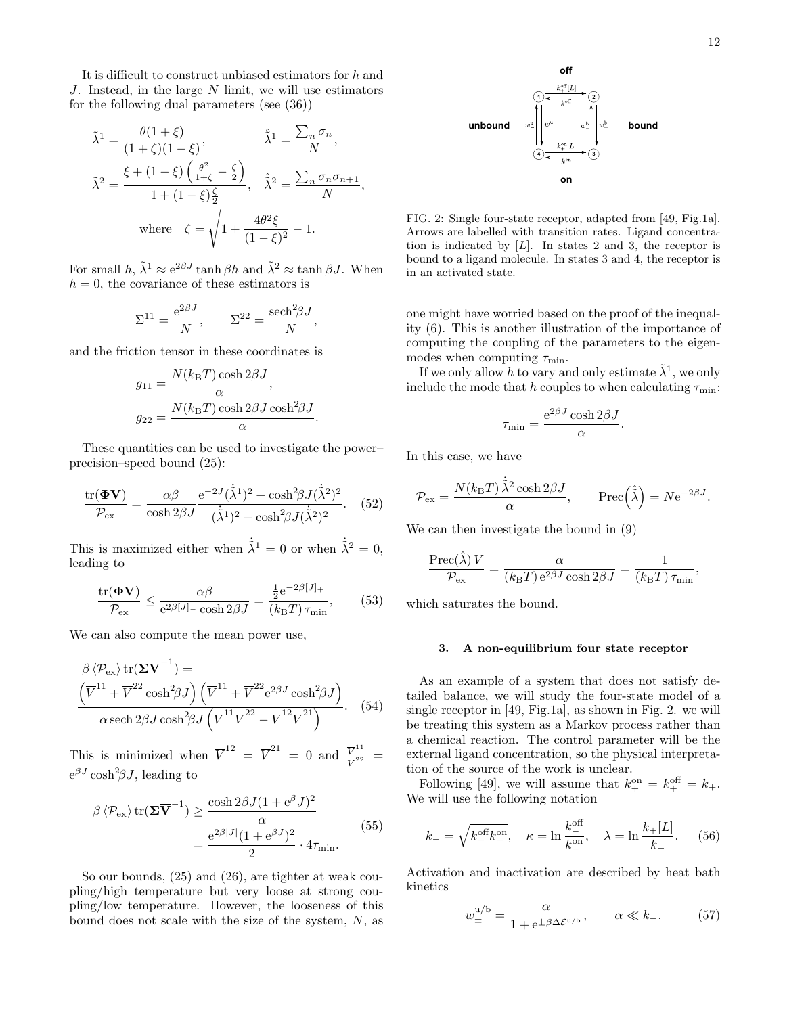It is difficult to construct unbiased estimators for h and J. Instead, in the large N limit, we will use estimators for the following dual parameters (see [\(36\)](#page-9-3))

$$
\tilde{\lambda}^{1} = \frac{\theta(1+\xi)}{(1+\zeta)(1-\xi)}, \qquad \hat{\lambda}^{1} = \frac{\sum_{n} \sigma_{n}}{N},
$$

$$
\tilde{\lambda}^{2} = \frac{\xi + (1-\xi)\left(\frac{\theta^{2}}{1+\zeta}-\frac{\zeta}{2}\right)}{1+(1-\xi)\frac{\zeta}{2}}, \quad \hat{\lambda}^{2} = \frac{\sum_{n} \sigma_{n} \sigma_{n+1}}{N},
$$
where  $\zeta = \sqrt{1 + \frac{4\theta^{2}\xi}{(1-\xi)^{2}}} - 1.$ 

For small  $h, \tilde{\lambda}^1 \approx e^{2\beta J} \tanh \beta h$  and  $\tilde{\lambda}^2 \approx \tanh \beta J$ . When  $h = 0$ , the covariance of these estimators is

$$
\Sigma^{11} = \frac{e^{2\beta J}}{N}, \qquad \Sigma^{22} = \frac{\mathrm{sech}^2 \beta J}{N},
$$

and the friction tensor in these coordinates is

$$
g_{11} = \frac{N(k_{\text{B}}T)\cosh 2\beta J}{\alpha},
$$

$$
g_{22} = \frac{N(k_{\text{B}}T)\cosh 2\beta J\cosh^2\beta J}{\alpha}.
$$

These quantities can be used to investigate the power– precision–speed bound [\(25\)](#page-6-4):

$$
\frac{\text{tr}(\mathbf{\Phi V})}{\mathcal{P}_{\text{ex}}} = \frac{\alpha \beta}{\cosh 2\beta J} \frac{\text{e}^{-2J}(\dot{\tilde{\lambda}}^1)^2 + \cosh^2\beta J(\dot{\tilde{\lambda}}^2)^2}{(\dot{\tilde{\lambda}}^1)^2 + \cosh^2\beta J(\dot{\tilde{\lambda}}^2)^2}.
$$
 (52)

This is maximized either when  $\dot{\tilde{\lambda}}^1 = 0$  or when  $\dot{\tilde{\lambda}}^2 = 0$ , leading to

$$
\frac{\text{tr}(\mathbf{\Phi V})}{\mathcal{P}_{\text{ex}}} \le \frac{\alpha \beta}{e^{2\beta[J] - \cosh 2\beta J}} = \frac{\frac{1}{2}e^{-2\beta[J] +}}{(k_{\text{B}}T)\,\tau_{\text{min}}},\qquad(53)
$$

We can also compute the mean power use,

$$
\beta \langle \mathcal{P}_{\text{ex}} \rangle \text{tr}(\mathbf{\Sigma}\overline{\mathbf{V}}^{-1}) =
$$
\n
$$
\frac{(\overline{V}^{11} + \overline{V}^{22} \cosh^2 \beta J)(\overline{V}^{11} + \overline{V}^{22} e^{2\beta J} \cosh^2 \beta J)}{\alpha \operatorname{sech} 2\beta J \cosh^2 \beta J(\overline{V}^{11} \overline{V}^{22} - \overline{V}^{12} \overline{V}^{21})}.
$$
\n(54)

This is minimized when  $\overline{V}^{12} = \overline{V}^{21} = 0$  and  $\frac{\overline{V}^{11}}{\overline{V}^{22}}$  $\frac{V}{V^{22}}$  =  $e^{\beta J} \cosh^2 2J$ , leading to

$$
\beta \langle \mathcal{P}_{\text{ex}} \rangle \operatorname{tr}(\mathbf{\Sigma} \overline{\mathbf{V}}^{-1}) \ge \frac{\cosh 2\beta J (1 + e^{\beta} J)^2}{\alpha} = \frac{e^{2\beta |J|} (1 + e^{\beta J})^2}{2} \cdot 4\tau_{\text{min}}.
$$
\n(55)

So our bounds, [\(25\)](#page-6-4) and [\(26\)](#page-6-5), are tighter at weak coupling/high temperature but very loose at strong coupling/low temperature. However, the looseness of this bound does not scale with the size of the system, N, as



<span id="page-11-1"></span>FIG. 2: Single four-state receptor, adapted from [\[49,](#page-14-15) Fig.1a]. Arrows are labelled with transition rates. Ligand concentration is indicated by  $[L]$ . In states 2 and 3, the receptor is bound to a ligand molecule. In states 3 and 4, the receptor is in an activated state.

one might have worried based on the proof of the inequality [\(6\)](#page-2-4). This is another illustration of the importance of computing the coupling of the parameters to the eigenmodes when computing  $\tau_{\min}$ .

If we only allow h to vary and only estimate  $\tilde{\lambda}^1$ , we only include the mode that h couples to when calculating  $\tau_{\min}$ :

$$
\tau_{\min} = \frac{e^{2\beta J} \cosh 2\beta J}{\alpha}.
$$

In this case, we have

$$
\mathcal{P}_{\rm ex} = \frac{N(k_{\rm B}T)\,\dot{\tilde{\lambda}}^2\cosh 2\beta J}{\alpha}, \qquad {\rm Prec}\!\left(\hat{\tilde{\lambda}}\right) = N{\rm e}^{-2\beta J}.
$$

We can then investigate the bound in [\(9\)](#page-3-2)

$$
\frac{\operatorname{Prec}(\hat{\lambda})V}{\mathcal{P}_{\text{ex}}} = \frac{\alpha}{(k_{\text{B}}T)\operatorname{e}^{2\beta J}\cosh 2\beta J} = \frac{1}{(k_{\text{B}}T)\,\tau_{\text{min}}},
$$

which saturates the bound.

#### <span id="page-11-0"></span>3. A non-equilibrium four state receptor

As an example of a system that does not satisfy detailed balance, we will study the four-state model of a single receptor in [\[49,](#page-14-15) Fig.1a], as shown in [Fig. 2.](#page-11-1) we will be treating this system as a Markov process rather than a chemical reaction. The control parameter will be the external ligand concentration, so the physical interpretation of the source of the work is unclear.

Following [\[49\]](#page-14-15), we will assume that  $k_{+}^{\text{on}} = k_{+}^{\text{off}} = k_{+}$ . We will use the following notation

<span id="page-11-2"></span>
$$
k_{-} = \sqrt{k_{-}^{\text{off}}k_{-}^{\text{on}}}, \quad \kappa = \ln \frac{k_{-}^{\text{off}}}{k_{-}^{\text{on}}}, \quad \lambda = \ln \frac{k_{+}[L]}{k_{-}}.
$$
 (56)

Activation and inactivation are described by heat bath kinetics

<span id="page-11-3"></span>
$$
w_{\pm}^{\mathrm{u/b}} = \frac{\alpha}{1 + \mathrm{e}^{\pm \beta \Delta \mathcal{E}^{\mathrm{u/b}}}}, \qquad \alpha \ll k_{-}.\tag{57}
$$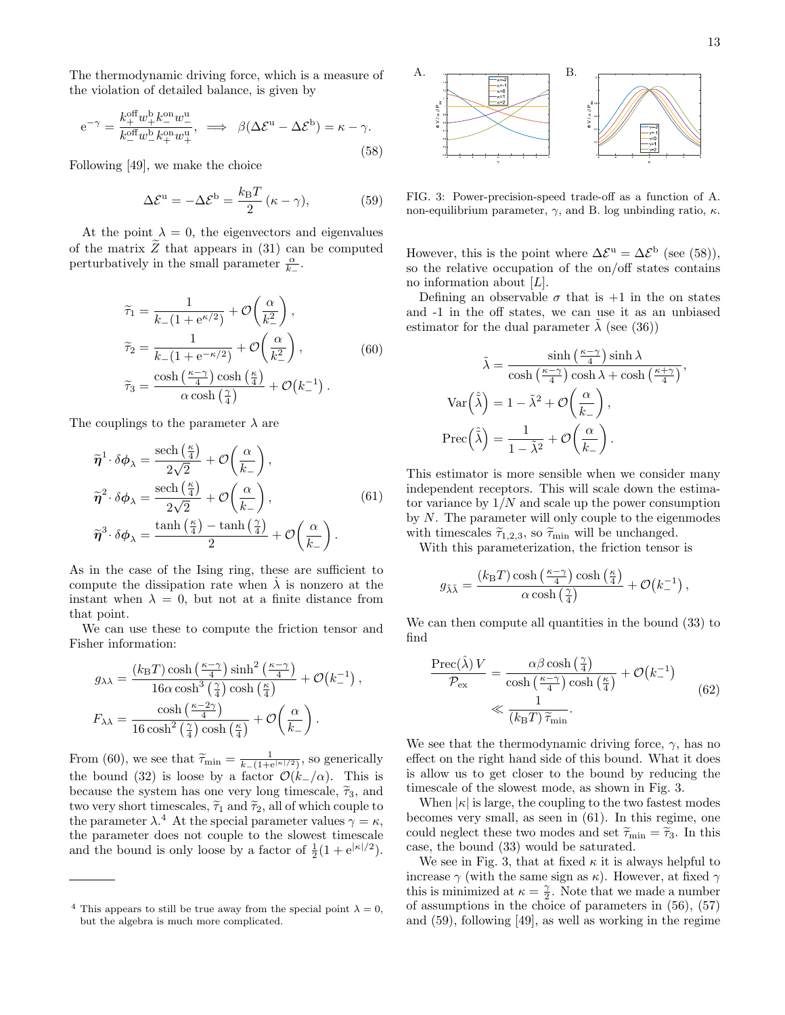The thermodynamic driving force, which is a measure of the violation of detailed balance, is given by

<span id="page-12-3"></span>
$$
e^{-\gamma} = \frac{k_+^{\text{off}} w_+^{\text{b}} k_-^{\text{on}} w_-^{\text{u}}}{k_-^{\text{off}} w_-^{\text{b}} k_+^{\text{on}} w_+^{\text{u}}}, \implies \beta(\Delta \mathcal{E}^{\text{u}} - \Delta \mathcal{E}^{\text{b}}) = \kappa - \gamma.
$$
\n(58)

Following [\[49\]](#page-14-15), we make the choice

<span id="page-12-6"></span>
$$
\Delta \mathcal{E}^{\mathrm{u}} = -\Delta \mathcal{E}^{\mathrm{b}} = \frac{k_{\mathrm{B}} T}{2} (\kappa - \gamma), \tag{59}
$$

At the point  $\lambda = 0$ , the eigenvectors and eigenvalues of the matrix  $\ddot{Z}$  that appears in [\(31\)](#page-7-4) can be computed perturbatively in the small parameter  $\frac{\alpha}{k_-}$ .

<span id="page-12-0"></span>
$$
\widetilde{\tau}_1 = \frac{1}{k_-(1 + e^{\kappa/2})} + \mathcal{O}\left(\frac{\alpha}{k_-^2}\right),
$$
  
\n
$$
\widetilde{\tau}_2 = \frac{1}{k_-(1 + e^{-\kappa/2})} + \mathcal{O}\left(\frac{\alpha}{k_-^2}\right),
$$
  
\n
$$
\widetilde{\tau}_3 = \frac{\cosh\left(\frac{\kappa - \gamma}{4}\right)\cosh\left(\frac{\kappa}{4}\right)}{\alpha\cosh\left(\frac{\gamma}{4}\right)} + \mathcal{O}\left(k_-^{-1}\right).
$$
\n(60)

The couplings to the parameter  $\lambda$  are

<span id="page-12-5"></span>
$$
\widetilde{\boldsymbol{\eta}}^{1} \cdot \delta \boldsymbol{\phi}_{\lambda} = \frac{\text{sech}\left(\frac{\kappa}{4}\right)}{2\sqrt{2}} + \mathcal{O}\left(\frac{\alpha}{k_{-}}\right),
$$
\n
$$
\widetilde{\boldsymbol{\eta}}^{2} \cdot \delta \boldsymbol{\phi}_{\lambda} = \frac{\text{sech}\left(\frac{\kappa}{4}\right)}{2\sqrt{2}} + \mathcal{O}\left(\frac{\alpha}{k_{-}}\right),
$$
\n
$$
\widetilde{\boldsymbol{\eta}}^{3} \cdot \delta \boldsymbol{\phi}_{\lambda} = \frac{\tanh\left(\frac{\kappa}{4}\right) - \tanh\left(\frac{\gamma}{4}\right)}{2} + \mathcal{O}\left(\frac{\alpha}{k_{-}}\right).
$$
\n(61)

As in the case of the [Ising ring,](#page-10-0) these are sufficient to compute the dissipation rate when  $\lambda$  is nonzero at the instant when  $\lambda = 0$ , but not at a finite distance from that point.

We can use these to compute the friction tensor and Fisher information:

$$
g_{\lambda\lambda} = \frac{(k_{\rm B}T)\cosh\left(\frac{\kappa-\gamma}{4}\right)\sinh^2\left(\frac{\kappa-\gamma}{4}\right)}{16\alpha\cosh^3\left(\frac{\gamma}{4}\right)\cosh\left(\frac{\kappa}{4}\right)} + \mathcal{O}\left(k_{-}^{-1}\right),
$$

$$
F_{\lambda\lambda} = \frac{\cosh\left(\frac{\kappa-2\gamma}{4}\right)}{16\cosh^2\left(\frac{\gamma}{4}\right)\cosh\left(\frac{\kappa}{4}\right)} + \mathcal{O}\left(\frac{\alpha}{k_{-}}\right).
$$

From [\(60\)](#page-12-0), we see that  $\widetilde{\tau}_{\min} = \frac{1}{k_-(1+e^{\vert \kappa \vert/2})}$ , so generically the bound [\(32\)](#page-8-2) is loose by a factor  $\mathcal{O}(k_-/\alpha)$ . This is because the system has one very long timescale,  $\tilde{\tau}_3$ , and two very short timescales,  $\tilde{\tau}_1$  and  $\tilde{\tau}_2$ , all of which couple to the parameter  $\lambda$ <sup>4</sup> At the special parameter values  $\gamma = \kappa$ , the parameter does not couple to the slowest timescale and the bound is only loose by a factor of  $\frac{1}{2}(1 + e^{|\kappa|/2})$ .

<span id="page-12-2"></span><span id="page-12-1"></span>

<span id="page-12-4"></span>FIG. 3: Power-precision-speed trade-off as a function of [A.](#page-12-1) non-equilibrium parameter,  $\gamma$ , and [B.](#page-12-2) log unbinding ratio,  $\kappa$ .

However, this is the point where  $\Delta \mathcal{E}^{\mathbf{u}} = \Delta \mathcal{E}^{\mathbf{b}}$  (see [\(58\)](#page-12-3)), so the relative occupation of the on/off states contains no information about  $[L]$ .

Defining an observable  $\sigma$  that is  $+1$  in the on states and -1 in the off states, we can use it as an unbiased estimator for the dual parameter  $\lambda$  (see [\(36\)](#page-9-3))

$$
\tilde{\lambda} = \frac{\sinh\left(\frac{\kappa - \gamma}{4}\right)\sinh\lambda}{\cosh\left(\frac{\kappa - \gamma}{4}\right)\cosh\lambda + \cosh\left(\frac{\kappa + \gamma}{4}\right)},
$$
\n
$$
\text{Var}\left(\hat{\lambda}\right) = 1 - \tilde{\lambda}^2 + \mathcal{O}\left(\frac{\alpha}{k_-}\right),
$$
\n
$$
\text{Prec}\left(\hat{\lambda}\right) = \frac{1}{1 - \tilde{\lambda}^2} + \mathcal{O}\left(\frac{\alpha}{k_-}\right).
$$

This estimator is more sensible when we consider many independent receptors. This will scale down the estimator variance by  $1/N$  and scale up the power consumption by  $N$ . The parameter will only couple to the eigenmodes with timescales  $\tilde{\tau}_{1,2,3}$ , so  $\tilde{\tau}_{\min}$  will be unchanged.

With this parameterization, the friction tensor is

$$
g_{\tilde{\lambda}\tilde{\lambda}} = \frac{(k_{\text{B}}T)\cosh\left(\frac{\kappa - \gamma}{4}\right)\cosh\left(\frac{\kappa}{4}\right)}{\alpha\cosh\left(\frac{\gamma}{4}\right)} + \mathcal{O}\!\left(k_{-}^{-1}\right),\,
$$

We can then compute all quantities in the bound  $(33)$  to find

$$
\frac{\text{Prec}(\hat{\lambda})V}{\mathcal{P}_{\text{ex}}} = \frac{\alpha \beta \cosh\left(\frac{\gamma}{4}\right)}{\cosh\left(\frac{\kappa - \gamma}{4}\right)\cosh\left(\frac{\kappa}{4}\right)} + \mathcal{O}(k_{-}^{-1})
$$
\n
$$
\ll \frac{1}{(k_{\text{B}}T)\tilde{\tau}_{\text{min}}}.
$$
\n(62)

We see that the thermodynamic driving force,  $\gamma$ , has no effect on the right hand side of this bound. What it does is allow us to get closer to the bound by reducing the timescale of the slowest mode, as shown in [Fig. 3.](#page-12-4)

When  $|\kappa|$  is large, the coupling to the two fastest modes becomes very small, as seen in [\(61\)](#page-12-5). In this regime, one could neglect these two modes and set  $\tilde{\tau}_{\min} = \tilde{\tau}_3$ . In this case, the bound [\(33\)](#page-8-4) would be saturated.

We see in [Fig. 3,](#page-12-4) that at fixed  $\kappa$  it is always helpful to increase  $\gamma$  (with the same sign as  $\kappa$ ). However, at fixed  $\gamma$ this is minimized at  $\kappa = \frac{\gamma}{2}$ . Note that we made a number of assumptions in the choice of parameters in [\(56\)](#page-11-2), [\(57\)](#page-11-3) and [\(59\)](#page-12-6), following [\[49\]](#page-14-15), as well as working in the regime

<sup>&</sup>lt;sup>4</sup> This appears to still be true away from the special point  $\lambda = 0$ , but the algebra is much more complicated.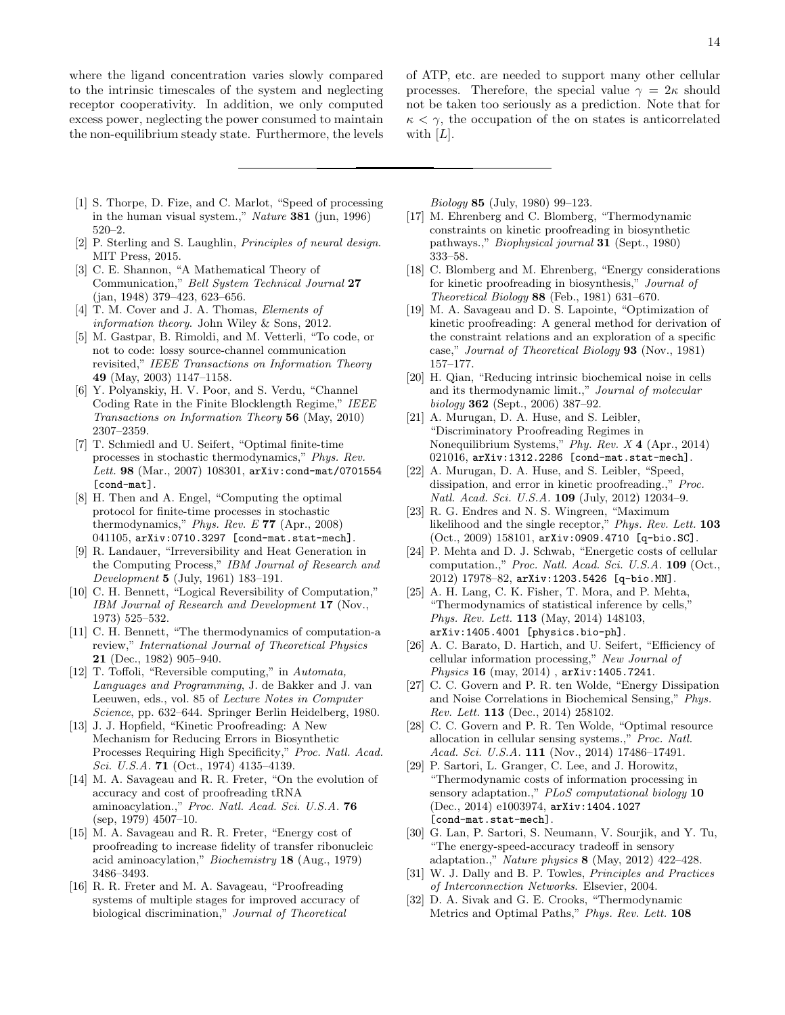where the ligand concentration varies slowly compared to the intrinsic timescales of the system and neglecting receptor cooperativity. In addition, we only computed excess power, neglecting the power consumed to maintain the non-equilibrium steady state. Furthermore, the levels of ATP, etc. are needed to support many other cellular processes. Therefore, the special value  $\gamma = 2\kappa$  should not be taken too seriously as a prediction. Note that for  $\kappa < \gamma$ , the occupation of the on states is anticorrelated with  $[L]$ .

- <span id="page-13-1"></span><span id="page-13-0"></span>[1] S. Thorpe, D. Fize, and C. Marlot, "Speed of processing in the human visual system.," Nature 381 [\(jun, 1996\)](http://dx.doi.org/10.1038/381520a0) [520–2.](http://dx.doi.org/10.1038/381520a0)
- <span id="page-13-2"></span>[2] P. Sterling and S. Laughlin, Principles of neural design. MIT Press, 2015.
- <span id="page-13-3"></span>[3] C. E. Shannon, "A Mathematical Theory of Communication," [Bell System Technical Journal](http://dx.doi.org/10.1002/j.1538-7305.1948.tb01338.x) 27 [\(jan, 1948\) 379–423, 623–656.](http://dx.doi.org/10.1002/j.1538-7305.1948.tb01338.x)
- <span id="page-13-4"></span>[4] T. M. Cover and J. A. Thomas, *Elements of* information theory. John Wiley & Sons, 2012.
- <span id="page-13-5"></span>[5] M. Gastpar, B. Rimoldi, and M. Vetterli, "To code, or not to code: lossy source-channel communication revisited," [IEEE Transactions on Information Theory](http://dx.doi.org/10.1109/TIT.2003.810631) 49 [\(May, 2003\) 1147–1158.](http://dx.doi.org/10.1109/TIT.2003.810631)
- <span id="page-13-6"></span>[6] Y. Polyanskiy, H. V. Poor, and S. Verdu, "Channel Coding Rate in the Finite Blocklength Regime," [IEEE](http://dx.doi.org/10.1109/TIT.2010.2043769) [Transactions on Information Theory](http://dx.doi.org/10.1109/TIT.2010.2043769) 56 (May, 2010) [2307–2359.](http://dx.doi.org/10.1109/TIT.2010.2043769)
- <span id="page-13-7"></span>[7] T. Schmiedl and U. Seifert, "Optimal finite-time processes in stochastic thermodynamics," [Phys. Rev.](http://dx.doi.org/10.1103/PhysRevLett.98.108301) Lett. 98 [\(Mar., 2007\) 108301,](http://dx.doi.org/10.1103/PhysRevLett.98.108301) [arXiv:cond-mat/0701554](http://arxiv.org/abs/cond-mat/0701554) [\[cond-mat\]](http://arxiv.org/abs/cond-mat/0701554).
- <span id="page-13-8"></span>[8] H. Then and A. Engel, "Computing the optimal protocol for finite-time processes in stochastic thermodynamics," [Phys. Rev. E](http://dx.doi.org/10.1103/PhysRevE.77.041105) 77 (Apr., 2008) [041105,](http://dx.doi.org/10.1103/PhysRevE.77.041105) [arXiv:0710.3297 \[cond-mat.stat-mech\]](http://arxiv.org/abs/0710.3297).
- <span id="page-13-9"></span>[9] R. Landauer, "Irreversibility and Heat Generation in the Computing Process," [IBM Journal of Research and](http://dx.doi.org/10.1147/rd.53.0183) Development 5 [\(July, 1961\) 183–191.](http://dx.doi.org/10.1147/rd.53.0183)
- [10] C. H. Bennett, "Logical Reversibility of Computation," [IBM Journal of Research and Development](http://dx.doi.org/10.1147/rd.176.0525) 17 (Nov., [1973\) 525–532.](http://dx.doi.org/10.1147/rd.176.0525)
- <span id="page-13-10"></span>[11] C. H. Bennett, "The thermodynamics of computation-a review," [International Journal of Theoretical Physics](http://dx.doi.org/10.1007/BF02084158) 21 [\(Dec., 1982\) 905–940.](http://dx.doi.org/10.1007/BF02084158)
- <span id="page-13-11"></span>[12] T. Toffoli, ["Reversible computing,"](http://dx.doi.org/10.1007/3-540-10003-2_104) in Automata, Languages and Programming, J. de Bakker and J. van Leeuwen, eds., vol. 85 of Lecture Notes in Computer Science, pp. 632–644. Springer Berlin Heidelberg, 1980.
- <span id="page-13-12"></span>[13] J. J. Hopfield, "Kinetic Proofreading: A New Mechanism for Reducing Errors in Biosynthetic Processes Requiring High Specificity," [Proc. Natl. Acad.](http://dx.doi.org/10.1073/pnas.71.10.4135) Sci. U.S.A. **71** (Oct., 1974) 4135-4139.
- [14] M. A. Savageau and R. R. Freter, "On the evolution of accuracy and cost of proofreading tRNA aminoacylation.," [Proc. Natl. Acad. Sci. U.S.A.](http://dx.doi.org/10.1073/pnas.76.9.4507) 76 [\(sep, 1979\) 4507–10.](http://dx.doi.org/10.1073/pnas.76.9.4507)
- [15] M. A. Savageau and R. R. Freter, "Energy cost of proofreading to increase fidelity of transfer ribonucleic acid aminoacylation," [Biochemistry](http://dx.doi.org/10.1021/bi00583a008) 18 (Aug., 1979) [3486–3493.](http://dx.doi.org/10.1021/bi00583a008)
- [16] R. R. Freter and M. A. Savageau, "Proofreading systems of multiple stages for improved accuracy of biological discrimination," [Journal of Theoretical](http://dx.doi.org/10.1016/0022-5193(80)90284-2)

Biology 85 [\(July, 1980\) 99–123.](http://dx.doi.org/10.1016/0022-5193(80)90284-2)

- [17] M. Ehrenberg and C. Blomberg, "Thermodynamic constraints on kinetic proofreading in biosynthetic pathways.," [Biophysical journal](http://dx.doi.org/10.1016/S0006-3495(80)85063-6) 31 (Sept., 1980) [333–58.](http://dx.doi.org/10.1016/S0006-3495(80)85063-6)
- [18] C. Blomberg and M. Ehrenberg, "Energy considerations for kinetic proofreading in biosynthesis," [Journal of](http://dx.doi.org/10.1016/0022-5193(81)90242-3) Theoretical Biology 88 [\(Feb., 1981\) 631–670.](http://dx.doi.org/10.1016/0022-5193(81)90242-3)
- [19] M. A. Savageau and D. S. Lapointe, "Optimization of kinetic proofreading: A general method for derivation of the constraint relations and an exploration of a specific case," [Journal of Theoretical Biology](http://dx.doi.org/10.1016/0022-5193(81)90062-X) 93 (Nov., 1981) [157–177.](http://dx.doi.org/10.1016/0022-5193(81)90062-X)
- [20] H. Qian, "Reducing intrinsic biochemical noise in cells and its thermodynamic limit.," [Journal of molecular](http://dx.doi.org/10.1016/j.jmb.2006.07.068) biology 362 [\(Sept., 2006\) 387–92.](http://dx.doi.org/10.1016/j.jmb.2006.07.068)
- <span id="page-13-13"></span>[21] A. Murugan, D. A. Huse, and S. Leibler, "Discriminatory Proofreading Regimes in Nonequilibrium Systems," Phy. Rev. X 4 [\(Apr., 2014\)](http://dx.doi.org/10.1103/PhysRevX.4.021016) [021016,](http://dx.doi.org/10.1103/PhysRevX.4.021016) [arXiv:1312.2286 \[cond-mat.stat-mech\]](http://arxiv.org/abs/1312.2286).
- <span id="page-13-14"></span>[22] A. Murugan, D. A. Huse, and S. Leibler, "Speed, dissipation, and error in kinetic proofreading.," [Proc.](http://dx.doi.org/10.1073/pnas.1119911109) [Natl. Acad. Sci. U.S.A.](http://dx.doi.org/10.1073/pnas.1119911109) 109 (July, 2012) 12034–9.
- <span id="page-13-15"></span>[23] R. G. Endres and N. S. Wingreen, "Maximum likelihood and the single receptor," [Phys. Rev. Lett.](http://dx.doi.org/10.1103/PhysRevLett.103.158101) **103** [\(Oct., 2009\) 158101,](http://dx.doi.org/10.1103/PhysRevLett.103.158101) [arXiv:0909.4710 \[q-bio.SC\]](http://arxiv.org/abs/0909.4710).
- [24] P. Mehta and D. J. Schwab, "Energetic costs of cellular computation.," [Proc. Natl. Acad. Sci. U.S.A.](http://dx.doi.org/10.1073/pnas.1207814109) 109 (Oct., [2012\) 17978–82,](http://dx.doi.org/10.1073/pnas.1207814109) [arXiv:1203.5426 \[q-bio.MN\]](http://arxiv.org/abs/1203.5426).
- [25] A. H. Lang, C. K. Fisher, T. Mora, and P. Mehta, "Thermodynamics of statistical inference by cells," Phys. Rev. Lett. 113 [\(May, 2014\) 148103,](http://dx.doi.org/10.1103/PhysRevLett.113.148103) [arXiv:1405.4001 \[physics.bio-ph\]](http://arxiv.org/abs/1405.4001).
- [26] A. C. Barato, D. Hartich, and U. Seifert, "Efficiency of cellular information processing," [New Journal of](http://dx.doi.org/10.1088/1367-2630/16/10/103024) *Physics*  $16 \text{ (may, } 2014)$ ,  $arXiv:1405.7241$ .
- [27] C. C. Govern and P. R. ten Wolde, "Energy Dissipation and Noise Correlations in Biochemical Sensing," [Phys.](http://dx.doi.org/10.1103/PhysRevLett.113.258102) Rev. Lett. 113 [\(Dec., 2014\) 258102.](http://dx.doi.org/10.1103/PhysRevLett.113.258102)
- [28] C. C. Govern and P. R. Ten Wolde, "Optimal resource allocation in cellular sensing systems.," [Proc. Natl.](http://dx.doi.org/10.1073/pnas.1411524111) Acad. Sci. U.S.A. 111 [\(Nov., 2014\) 17486–17491.](http://dx.doi.org/10.1073/pnas.1411524111)
- <span id="page-13-16"></span>[29] P. Sartori, L. Granger, C. Lee, and J. Horowitz, "Thermodynamic costs of information processing in sensory adaptation.," [PLoS computational biology](http://dx.doi.org/10.1371/journal.pcbi.1003974) 10 [\(Dec., 2014\) e1003974,](http://dx.doi.org/10.1371/journal.pcbi.1003974) [arXiv:1404.1027](http://arxiv.org/abs/1404.1027) [\[cond-mat.stat-mech\]](http://arxiv.org/abs/1404.1027).
- <span id="page-13-17"></span>[30] G. Lan, P. Sartori, S. Neumann, V. Sourjik, and Y. Tu, "The energy-speed-accuracy tradeoff in sensory adaptation.," Nature physics 8 [\(May, 2012\) 422–428.](http://dx.doi.org/10.1038/nphys2276)
- <span id="page-13-18"></span>[31] W. J. Dally and B. P. Towles, *Principles and Practices* of Interconnection Networks. Elsevier, 2004.
- <span id="page-13-19"></span>[32] D. A. Sivak and G. E. Crooks, "Thermodynamic Metrics and Optimal Paths," [Phys. Rev. Lett.](http://dx.doi.org/10.1103/PhysRevLett.108.190602) 108